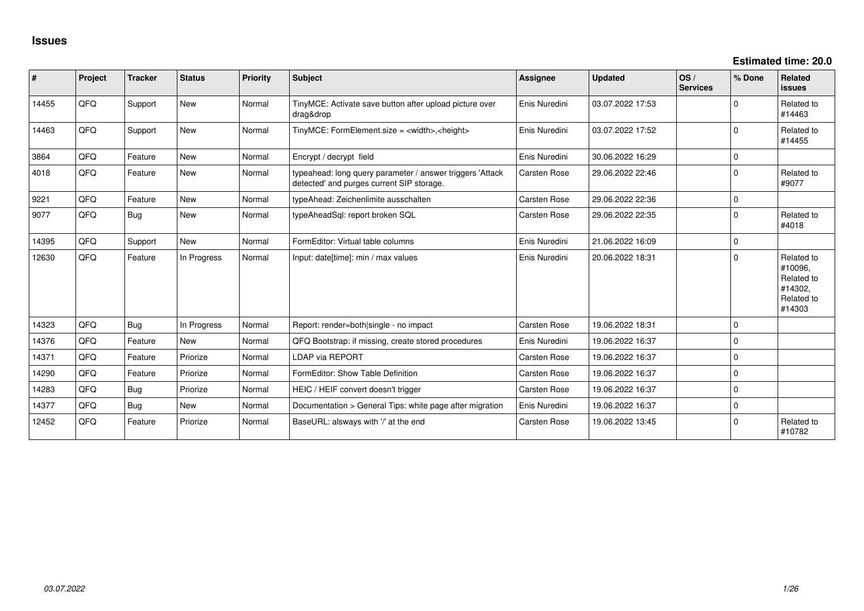| #     | Project | <b>Tracker</b> | <b>Status</b> | <b>Priority</b> | <b>Subject</b>                                                                                         | <b>Assignee</b> | <b>Updated</b>   | OS/<br><b>Services</b> | % Done      | <b>Related</b><br><b>issues</b>                                        |
|-------|---------|----------------|---------------|-----------------|--------------------------------------------------------------------------------------------------------|-----------------|------------------|------------------------|-------------|------------------------------------------------------------------------|
| 14455 | QFQ     | Support        | <b>New</b>    | Normal          | TinyMCE: Activate save button after upload picture over<br>drag&drop                                   | Enis Nuredini   | 03.07.2022 17:53 |                        | $\Omega$    | Related to<br>#14463                                                   |
| 14463 | QFQ     | Support        | New           | Normal          | TinyMCE: FormElement.size = <width>, <height></height></width>                                         | Enis Nuredini   | 03.07.2022 17:52 |                        | $\Omega$    | Related to<br>#14455                                                   |
| 3864  | QFQ     | Feature        | New           | Normal          | Encrypt / decrypt field                                                                                | Enis Nuredini   | 30.06.2022 16:29 |                        | $\mathbf 0$ |                                                                        |
| 4018  | QFQ     | Feature        | New           | Normal          | typeahead: long query parameter / answer triggers 'Attack<br>detected' and purges current SIP storage. | Carsten Rose    | 29.06.2022 22:46 |                        | $\Omega$    | Related to<br>#9077                                                    |
| 9221  | QFQ     | Feature        | <b>New</b>    | Normal          | typeAhead: Zeichenlimite ausschalten                                                                   | Carsten Rose    | 29.06.2022 22:36 |                        | $\mathbf 0$ |                                                                        |
| 9077  | QFQ     | Bug            | New           | Normal          | typeAheadSql: report broken SQL                                                                        | Carsten Rose    | 29.06.2022 22:35 |                        | $\Omega$    | Related to<br>#4018                                                    |
| 14395 | QFQ     | Support        | <b>New</b>    | Normal          | FormEditor: Virtual table columns                                                                      | Enis Nuredini   | 21.06.2022 16:09 |                        | $\Omega$    |                                                                        |
| 12630 | QFQ     | Feature        | In Progress   | Normal          | Input: date[time]: min / max values                                                                    | Enis Nuredini   | 20.06.2022 18:31 |                        | $\Omega$    | Related to<br>#10096.<br>Related to<br>#14302,<br>Related to<br>#14303 |
| 14323 | QFQ     | Bug            | In Progress   | Normal          | Report: render=both single - no impact                                                                 | Carsten Rose    | 19.06.2022 18:31 |                        | $\Omega$    |                                                                        |
| 14376 | QFQ     | Feature        | <b>New</b>    | Normal          | QFQ Bootstrap: if missing, create stored procedures                                                    | Enis Nuredini   | 19.06.2022 16:37 |                        | $\mathbf 0$ |                                                                        |
| 14371 | QFQ     | Feature        | Priorize      | Normal          | <b>LDAP via REPORT</b>                                                                                 | Carsten Rose    | 19.06.2022 16:37 |                        | $\mathbf 0$ |                                                                        |
| 14290 | QFQ     | Feature        | Priorize      | Normal          | FormEditor: Show Table Definition                                                                      | Carsten Rose    | 19.06.2022 16:37 |                        | $\Omega$    |                                                                        |
| 14283 | QFQ     | Bug            | Priorize      | Normal          | HEIC / HEIF convert doesn't trigger                                                                    | Carsten Rose    | 19.06.2022 16:37 |                        | $\Omega$    |                                                                        |
| 14377 | QFQ     | Bug            | New           | Normal          | Documentation > General Tips: white page after migration                                               | Enis Nuredini   | 19.06.2022 16:37 |                        | $\mathbf 0$ |                                                                        |
| 12452 | QFQ     | Feature        | Priorize      | Normal          | BaseURL: alsways with '/' at the end                                                                   | Carsten Rose    | 19.06.2022 13:45 |                        | $\Omega$    | Related to<br>#10782                                                   |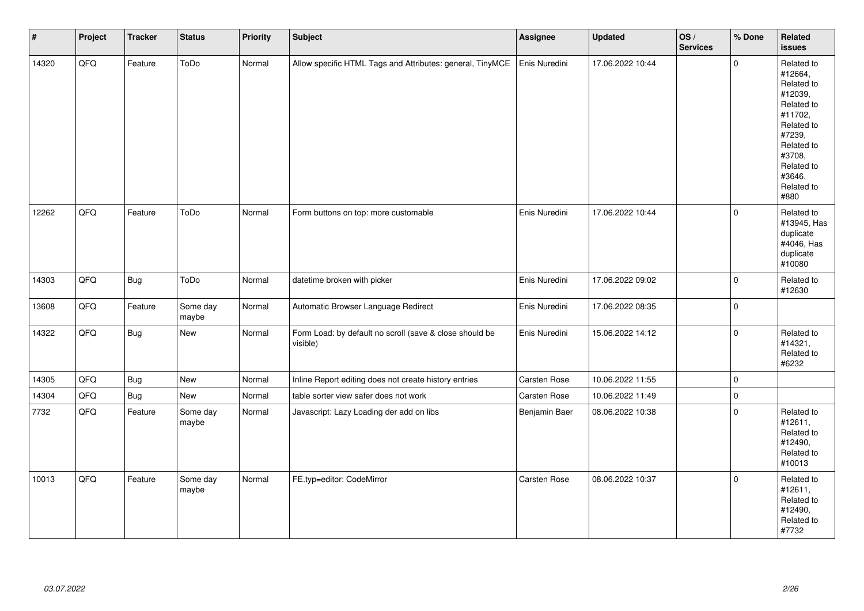| $\vert$ # | Project | <b>Tracker</b> | <b>Status</b>     | <b>Priority</b> | <b>Subject</b>                                                      | Assignee      | <b>Updated</b>   | os/<br><b>Services</b> | % Done       | Related<br><b>issues</b>                                                                                                                                              |
|-----------|---------|----------------|-------------------|-----------------|---------------------------------------------------------------------|---------------|------------------|------------------------|--------------|-----------------------------------------------------------------------------------------------------------------------------------------------------------------------|
| 14320     | QFQ     | Feature        | ToDo              | Normal          | Allow specific HTML Tags and Attributes: general, TinyMCE           | Enis Nuredini | 17.06.2022 10:44 |                        | $\Omega$     | Related to<br>#12664,<br>Related to<br>#12039,<br>Related to<br>#11702,<br>Related to<br>#7239,<br>Related to<br>#3708,<br>Related to<br>#3646,<br>Related to<br>#880 |
| 12262     | QFQ     | Feature        | ToDo              | Normal          | Form buttons on top: more customable                                | Enis Nuredini | 17.06.2022 10:44 |                        | $\Omega$     | Related to<br>#13945, Has<br>duplicate<br>#4046, Has<br>duplicate<br>#10080                                                                                           |
| 14303     | QFQ     | Bug            | ToDo              | Normal          | datetime broken with picker                                         | Enis Nuredini | 17.06.2022 09:02 |                        | $\Omega$     | Related to<br>#12630                                                                                                                                                  |
| 13608     | QFQ     | Feature        | Some day<br>maybe | Normal          | Automatic Browser Language Redirect                                 | Enis Nuredini | 17.06.2022 08:35 |                        | $\mathbf{0}$ |                                                                                                                                                                       |
| 14322     | QFQ     | <b>Bug</b>     | New               | Normal          | Form Load: by default no scroll (save & close should be<br>visible) | Enis Nuredini | 15.06.2022 14:12 |                        | $\mathbf 0$  | Related to<br>#14321,<br>Related to<br>#6232                                                                                                                          |
| 14305     | QFQ     | Bug            | New               | Normal          | Inline Report editing does not create history entries               | Carsten Rose  | 10.06.2022 11:55 |                        | $\mathbf{0}$ |                                                                                                                                                                       |
| 14304     | QFQ     | Bug            | New               | Normal          | table sorter view safer does not work                               | Carsten Rose  | 10.06.2022 11:49 |                        | $\pmb{0}$    |                                                                                                                                                                       |
| 7732      | QFQ     | Feature        | Some day<br>maybe | Normal          | Javascript: Lazy Loading der add on libs                            | Benjamin Baer | 08.06.2022 10:38 |                        | $\Omega$     | Related to<br>#12611,<br>Related to<br>#12490,<br>Related to<br>#10013                                                                                                |
| 10013     | QFQ     | Feature        | Some day<br>maybe | Normal          | FE.typ=editor: CodeMirror                                           | Carsten Rose  | 08.06.2022 10:37 |                        | $\mathbf 0$  | Related to<br>#12611,<br>Related to<br>#12490,<br>Related to<br>#7732                                                                                                 |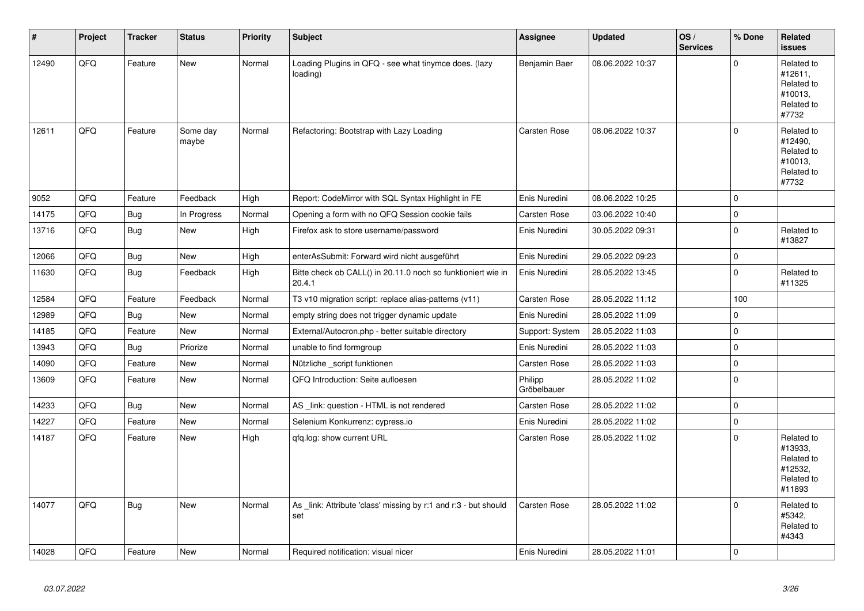| $\vert$ # | Project | <b>Tracker</b> | <b>Status</b>     | <b>Priority</b> | <b>Subject</b>                                                         | Assignee               | <b>Updated</b>   | OS/<br><b>Services</b> | % Done      | <b>Related</b><br><b>issues</b>                                        |
|-----------|---------|----------------|-------------------|-----------------|------------------------------------------------------------------------|------------------------|------------------|------------------------|-------------|------------------------------------------------------------------------|
| 12490     | QFQ     | Feature        | <b>New</b>        | Normal          | Loading Plugins in QFQ - see what tinymce does. (lazy<br>loading)      | Benjamin Baer          | 08.06.2022 10:37 |                        | $\Omega$    | Related to<br>#12611,<br>Related to<br>#10013,<br>Related to<br>#7732  |
| 12611     | QFQ     | Feature        | Some day<br>maybe | Normal          | Refactoring: Bootstrap with Lazy Loading                               | <b>Carsten Rose</b>    | 08.06.2022 10:37 |                        | $\mathbf 0$ | Related to<br>#12490,<br>Related to<br>#10013,<br>Related to<br>#7732  |
| 9052      | QFQ     | Feature        | Feedback          | High            | Report: CodeMirror with SQL Syntax Highlight in FE                     | Enis Nuredini          | 08.06.2022 10:25 |                        | 0           |                                                                        |
| 14175     | QFQ     | <b>Bug</b>     | In Progress       | Normal          | Opening a form with no QFQ Session cookie fails                        | Carsten Rose           | 03.06.2022 10:40 |                        | $\pmb{0}$   |                                                                        |
| 13716     | QFQ     | Bug            | <b>New</b>        | High            | Firefox ask to store username/password                                 | Enis Nuredini          | 30.05.2022 09:31 |                        | $\mathbf 0$ | Related to<br>#13827                                                   |
| 12066     | QFQ     | Bug            | New               | High            | enterAsSubmit: Forward wird nicht ausgeführt                           | Enis Nuredini          | 29.05.2022 09:23 |                        | $\mathbf 0$ |                                                                        |
| 11630     | QFQ     | Bug            | Feedback          | High            | Bitte check ob CALL() in 20.11.0 noch so funktioniert wie in<br>20.4.1 | Enis Nuredini          | 28.05.2022 13:45 |                        | 0           | Related to<br>#11325                                                   |
| 12584     | QFQ     | Feature        | Feedback          | Normal          | T3 v10 migration script: replace alias-patterns (v11)                  | <b>Carsten Rose</b>    | 28.05.2022 11:12 |                        | 100         |                                                                        |
| 12989     | QFQ     | Bug            | <b>New</b>        | Normal          | empty string does not trigger dynamic update                           | Enis Nuredini          | 28.05.2022 11:09 |                        | 0           |                                                                        |
| 14185     | QFQ     | Feature        | <b>New</b>        | Normal          | External/Autocron.php - better suitable directory                      | Support: System        | 28.05.2022 11:03 |                        | 0           |                                                                        |
| 13943     | QFQ     | Bug            | Priorize          | Normal          | unable to find formgroup                                               | Enis Nuredini          | 28.05.2022 11:03 |                        | $\pmb{0}$   |                                                                        |
| 14090     | QFQ     | Feature        | New               | Normal          | Nützliche script funktionen                                            | <b>Carsten Rose</b>    | 28.05.2022 11:03 |                        | $\pmb{0}$   |                                                                        |
| 13609     | QFQ     | Feature        | <b>New</b>        | Normal          | QFQ Introduction: Seite aufloesen                                      | Philipp<br>Gröbelbauer | 28.05.2022 11:02 |                        | $\mathbf 0$ |                                                                        |
| 14233     | QFQ     | Bug            | <b>New</b>        | Normal          | AS link: question - HTML is not rendered                               | <b>Carsten Rose</b>    | 28.05.2022 11:02 |                        | $\pmb{0}$   |                                                                        |
| 14227     | QFQ     | Feature        | <b>New</b>        | Normal          | Selenium Konkurrenz: cypress.io                                        | Enis Nuredini          | 28.05.2022 11:02 |                        | $\mathbf 0$ |                                                                        |
| 14187     | QFQ     | Feature        | <b>New</b>        | High            | gfg.log: show current URL                                              | Carsten Rose           | 28.05.2022 11:02 |                        | $\mathbf 0$ | Related to<br>#13933,<br>Related to<br>#12532.<br>Related to<br>#11893 |
| 14077     | QFQ     | Bug            | <b>New</b>        | Normal          | As link: Attribute 'class' missing by r:1 and r:3 - but should<br>set  | <b>Carsten Rose</b>    | 28.05.2022 11:02 |                        | $\mathbf 0$ | Related to<br>#5342.<br>Related to<br>#4343                            |
| 14028     | QFQ     | Feature        | <b>New</b>        | Normal          | Required notification: visual nicer                                    | Enis Nuredini          | 28.05.2022 11:01 |                        | $\mathbf 0$ |                                                                        |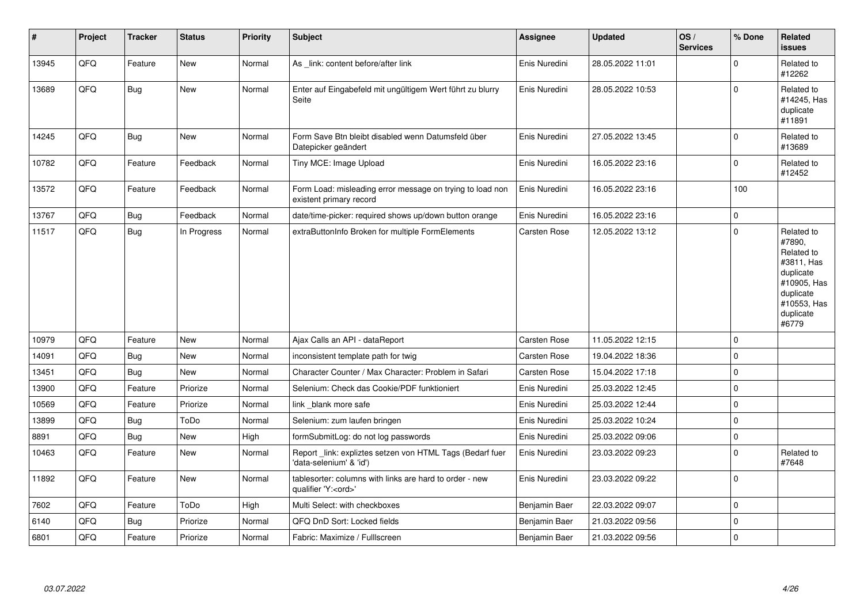| #     | Project | <b>Tracker</b> | <b>Status</b> | <b>Priority</b> | <b>Subject</b>                                                                        | <b>Assignee</b>     | Updated          | OS/<br><b>Services</b> | % Done              | <b>Related</b><br><b>issues</b>                                                                                                |
|-------|---------|----------------|---------------|-----------------|---------------------------------------------------------------------------------------|---------------------|------------------|------------------------|---------------------|--------------------------------------------------------------------------------------------------------------------------------|
| 13945 | QFQ     | Feature        | <b>New</b>    | Normal          | As link: content before/after link                                                    | Enis Nuredini       | 28.05.2022 11:01 |                        | $\Omega$            | Related to<br>#12262                                                                                                           |
| 13689 | QFQ     | Bug            | New           | Normal          | Enter auf Eingabefeld mit ungültigem Wert führt zu blurry<br>Seite                    | Enis Nuredini       | 28.05.2022 10:53 |                        | $\mathbf{0}$        | Related to<br>#14245, Has<br>duplicate<br>#11891                                                                               |
| 14245 | QFQ     | <b>Bug</b>     | <b>New</b>    | Normal          | Form Save Btn bleibt disabled wenn Datumsfeld über<br>Datepicker geändert             | Enis Nuredini       | 27.05.2022 13:45 |                        | $\Omega$            | Related to<br>#13689                                                                                                           |
| 10782 | QFQ     | Feature        | Feedback      | Normal          | Tiny MCE: Image Upload                                                                | Enis Nuredini       | 16.05.2022 23:16 |                        | $\mathbf{0}$        | Related to<br>#12452                                                                                                           |
| 13572 | QFQ     | Feature        | Feedback      | Normal          | Form Load: misleading error message on trying to load non<br>existent primary record  | Enis Nuredini       | 16.05.2022 23:16 |                        | 100                 |                                                                                                                                |
| 13767 | QFQ     | Bug            | Feedback      | Normal          | date/time-picker: required shows up/down button orange                                | Enis Nuredini       | 16.05.2022 23:16 |                        | $\pmb{0}$           |                                                                                                                                |
| 11517 | QFQ     | <b>Bug</b>     | In Progress   | Normal          | extraButtonInfo Broken for multiple FormElements                                      | <b>Carsten Rose</b> | 12.05.2022 13:12 |                        | $\Omega$            | Related to<br>#7890.<br>Related to<br>#3811, Has<br>duplicate<br>#10905, Has<br>duplicate<br>#10553, Has<br>duplicate<br>#6779 |
| 10979 | QFQ     | Feature        | New           | Normal          | Ajax Calls an API - dataReport                                                        | Carsten Rose        | 11.05.2022 12:15 |                        | $\Omega$            |                                                                                                                                |
| 14091 | QFQ     | Bug            | <b>New</b>    | Normal          | inconsistent template path for twig                                                   | <b>Carsten Rose</b> | 19.04.2022 18:36 |                        | $\mathbf 0$         |                                                                                                                                |
| 13451 | QFQ     | <b>Bug</b>     | <b>New</b>    | Normal          | Character Counter / Max Character: Problem in Safari                                  | Carsten Rose        | 15.04.2022 17:18 |                        | $\mathbf 0$         |                                                                                                                                |
| 13900 | QFQ     | Feature        | Priorize      | Normal          | Selenium: Check das Cookie/PDF funktioniert                                           | Enis Nuredini       | 25.03.2022 12:45 |                        | $\mathsf{O}\xspace$ |                                                                                                                                |
| 10569 | QFQ     | Feature        | Priorize      | Normal          | link blank more safe                                                                  | Enis Nuredini       | 25.03.2022 12:44 |                        | $\mathbf 0$         |                                                                                                                                |
| 13899 | QFQ     | Bug            | ToDo          | Normal          | Selenium: zum laufen bringen                                                          | Enis Nuredini       | 25.03.2022 10:24 |                        | $\mathbf 0$         |                                                                                                                                |
| 8891  | QFQ     | Bug            | <b>New</b>    | High            | formSubmitLog: do not log passwords                                                   | Enis Nuredini       | 25.03.2022 09:06 |                        | $\pmb{0}$           |                                                                                                                                |
| 10463 | QFQ     | Feature        | New           | Normal          | Report link: expliztes setzen von HTML Tags (Bedarf fuer<br>'data-selenium' & 'id')   | Enis Nuredini       | 23.03.2022 09:23 |                        | $\Omega$            | Related to<br>#7648                                                                                                            |
| 11892 | QFQ     | Feature        | <b>New</b>    | Normal          | tablesorter: columns with links are hard to order - new<br>qualifier 'Y: <ord>'</ord> | Enis Nuredini       | 23.03.2022 09:22 |                        | $\Omega$            |                                                                                                                                |
| 7602  | QFQ     | Feature        | ToDo          | High            | Multi Select: with checkboxes                                                         | Benjamin Baer       | 22.03.2022 09:07 |                        | $\mathbf 0$         |                                                                                                                                |
| 6140  | QFQ     | Bug            | Priorize      | Normal          | QFQ DnD Sort: Locked fields                                                           | Benjamin Baer       | 21.03.2022 09:56 |                        | $\mathbf 0$         |                                                                                                                                |
| 6801  | QFQ     | Feature        | Priorize      | Normal          | Fabric: Maximize / FullIscreen                                                        | Benjamin Baer       | 21.03.2022 09:56 |                        | 0                   |                                                                                                                                |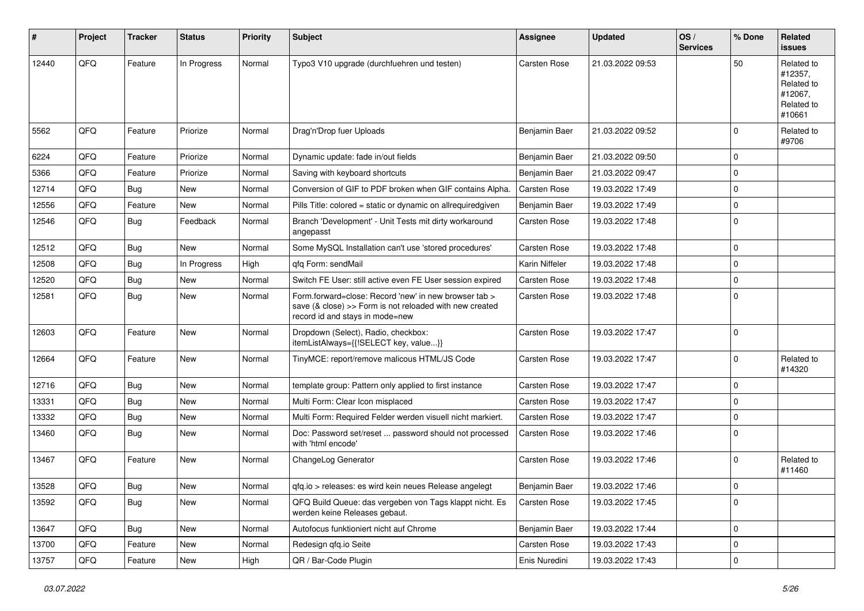| $\sharp$ | Project | <b>Tracker</b> | <b>Status</b> | <b>Priority</b> | Subject                                                                                                                                             | <b>Assignee</b>     | <b>Updated</b>   | OS/<br><b>Services</b> | % Done      | Related<br><b>issues</b>                                               |
|----------|---------|----------------|---------------|-----------------|-----------------------------------------------------------------------------------------------------------------------------------------------------|---------------------|------------------|------------------------|-------------|------------------------------------------------------------------------|
| 12440    | QFQ     | Feature        | In Progress   | Normal          | Typo3 V10 upgrade (durchfuehren und testen)                                                                                                         | Carsten Rose        | 21.03.2022 09:53 |                        | 50          | Related to<br>#12357,<br>Related to<br>#12067,<br>Related to<br>#10661 |
| 5562     | QFQ     | Feature        | Priorize      | Normal          | Drag'n'Drop fuer Uploads                                                                                                                            | Benjamin Baer       | 21.03.2022 09:52 |                        | $\mathbf 0$ | Related to<br>#9706                                                    |
| 6224     | QFQ     | Feature        | Priorize      | Normal          | Dynamic update: fade in/out fields                                                                                                                  | Benjamin Baer       | 21.03.2022 09:50 |                        | $\mathbf 0$ |                                                                        |
| 5366     | QFQ     | Feature        | Priorize      | Normal          | Saving with keyboard shortcuts                                                                                                                      | Benjamin Baer       | 21.03.2022 09:47 |                        | 0           |                                                                        |
| 12714    | QFQ     | Bug            | New           | Normal          | Conversion of GIF to PDF broken when GIF contains Alpha.                                                                                            | <b>Carsten Rose</b> | 19.03.2022 17:49 |                        | 0           |                                                                        |
| 12556    | QFQ     | Feature        | New           | Normal          | Pills Title: colored = static or dynamic on allrequiredgiven                                                                                        | Benjamin Baer       | 19.03.2022 17:49 |                        | 0           |                                                                        |
| 12546    | QFQ     | Bug            | Feedback      | Normal          | Branch 'Development' - Unit Tests mit dirty workaround<br>angepasst                                                                                 | <b>Carsten Rose</b> | 19.03.2022 17:48 |                        | 0           |                                                                        |
| 12512    | QFQ     | Bug            | New           | Normal          | Some MySQL Installation can't use 'stored procedures'                                                                                               | <b>Carsten Rose</b> | 19.03.2022 17:48 |                        | $\mathbf 0$ |                                                                        |
| 12508    | QFQ     | Bug            | In Progress   | High            | afa Form: sendMail                                                                                                                                  | Karin Niffeler      | 19.03.2022 17:48 |                        | 0           |                                                                        |
| 12520    | QFQ     | Bug            | New           | Normal          | Switch FE User: still active even FE User session expired                                                                                           | Carsten Rose        | 19.03.2022 17:48 |                        | 0           |                                                                        |
| 12581    | QFQ     | <b>Bug</b>     | <b>New</b>    | Normal          | Form.forward=close: Record 'new' in new browser tab ><br>save (& close) >> Form is not reloaded with new created<br>record id and stays in mode=new | <b>Carsten Rose</b> | 19.03.2022 17:48 |                        | 0           |                                                                        |
| 12603    | QFQ     | Feature        | New           | Normal          | Dropdown (Select), Radio, checkbox:<br>itemListAlways={{!SELECT key, value}}                                                                        | <b>Carsten Rose</b> | 19.03.2022 17:47 |                        | $\mathbf 0$ |                                                                        |
| 12664    | QFQ     | Feature        | New           | Normal          | TinyMCE: report/remove malicous HTML/JS Code                                                                                                        | <b>Carsten Rose</b> | 19.03.2022 17:47 |                        | $\mathbf 0$ | Related to<br>#14320                                                   |
| 12716    | QFQ     | Bug            | <b>New</b>    | Normal          | template group: Pattern only applied to first instance                                                                                              | <b>Carsten Rose</b> | 19.03.2022 17:47 |                        | 0           |                                                                        |
| 13331    | QFQ     | Bug            | <b>New</b>    | Normal          | Multi Form: Clear Icon misplaced                                                                                                                    | <b>Carsten Rose</b> | 19.03.2022 17:47 |                        | 0           |                                                                        |
| 13332    | QFQ     | Bug            | New           | Normal          | Multi Form: Required Felder werden visuell nicht markiert.                                                                                          | Carsten Rose        | 19.03.2022 17:47 |                        | $\mathbf 0$ |                                                                        |
| 13460    | QFQ     | Bug            | New           | Normal          | Doc: Password set/reset  password should not processed<br>with 'html encode'                                                                        | <b>Carsten Rose</b> | 19.03.2022 17:46 |                        | $\mathbf 0$ |                                                                        |
| 13467    | QFQ     | Feature        | <b>New</b>    | Normal          | ChangeLog Generator                                                                                                                                 | <b>Carsten Rose</b> | 19.03.2022 17:46 |                        | 0           | Related to<br>#11460                                                   |
| 13528    | QFQ     | Bug            | New           | Normal          | qfq.io > releases: es wird kein neues Release angelegt                                                                                              | Benjamin Baer       | 19.03.2022 17:46 |                        | $\mathbf 0$ |                                                                        |
| 13592    | QFQ     | <b>Bug</b>     | <b>New</b>    | Normal          | QFQ Build Queue: das vergeben von Tags klappt nicht. Es<br>werden keine Releases gebaut.                                                            | Carsten Rose        | 19.03.2022 17:45 |                        | $\mathbf 0$ |                                                                        |
| 13647    | QFQ     | <b>Bug</b>     | New           | Normal          | Autofocus funktioniert nicht auf Chrome                                                                                                             | Benjamin Baer       | 19.03.2022 17:44 |                        | 0           |                                                                        |
| 13700    | QFQ     | Feature        | <b>New</b>    | Normal          | Redesign qfq.io Seite                                                                                                                               | Carsten Rose        | 19.03.2022 17:43 |                        | $\mathbf 0$ |                                                                        |
| 13757    | QFQ     | Feature        | New           | High            | QR / Bar-Code Plugin                                                                                                                                | Enis Nuredini       | 19.03.2022 17:43 |                        | $\mathbf 0$ |                                                                        |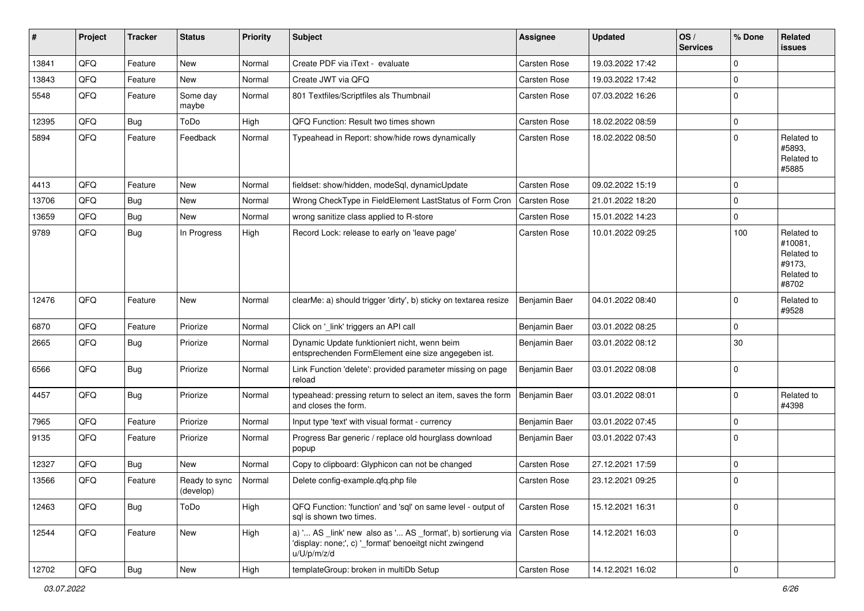| ∦     | Project | <b>Tracker</b> | <b>Status</b>              | <b>Priority</b> | <b>Subject</b>                                                                                                                        | Assignee            | <b>Updated</b>   | OS/<br><b>Services</b> | % Done              | Related<br><b>issues</b>                                             |
|-------|---------|----------------|----------------------------|-----------------|---------------------------------------------------------------------------------------------------------------------------------------|---------------------|------------------|------------------------|---------------------|----------------------------------------------------------------------|
| 13841 | QFQ     | Feature        | New                        | Normal          | Create PDF via iText - evaluate                                                                                                       | <b>Carsten Rose</b> | 19.03.2022 17:42 |                        | $\mathbf 0$         |                                                                      |
| 13843 | QFQ     | Feature        | <b>New</b>                 | Normal          | Create JWT via QFQ                                                                                                                    | Carsten Rose        | 19.03.2022 17:42 |                        | 0                   |                                                                      |
| 5548  | QFQ     | Feature        | Some day<br>maybe          | Normal          | 801 Textfiles/Scriptfiles als Thumbnail                                                                                               | Carsten Rose        | 07.03.2022 16:26 |                        | $\mathbf 0$         |                                                                      |
| 12395 | QFQ     | <b>Bug</b>     | ToDo                       | High            | QFQ Function: Result two times shown                                                                                                  | <b>Carsten Rose</b> | 18.02.2022 08:59 |                        | $\mathbf 0$         |                                                                      |
| 5894  | QFQ     | Feature        | Feedback                   | Normal          | Typeahead in Report: show/hide rows dynamically                                                                                       | <b>Carsten Rose</b> | 18.02.2022 08:50 |                        | $\mathbf 0$         | Related to<br>#5893.<br>Related to<br>#5885                          |
| 4413  | QFQ     | Feature        | <b>New</b>                 | Normal          | fieldset: show/hidden, modeSql, dynamicUpdate                                                                                         | <b>Carsten Rose</b> | 09.02.2022 15:19 |                        | 0                   |                                                                      |
| 13706 | QFQ     | Bug            | <b>New</b>                 | Normal          | Wrong CheckType in FieldElement LastStatus of Form Cron                                                                               | <b>Carsten Rose</b> | 21.01.2022 18:20 |                        | 0                   |                                                                      |
| 13659 | QFQ     | Bug            | New                        | Normal          | wrong sanitize class applied to R-store                                                                                               | <b>Carsten Rose</b> | 15.01.2022 14:23 |                        | 0                   |                                                                      |
| 9789  | QFQ     | Bug            | In Progress                | High            | Record Lock: release to early on 'leave page'                                                                                         | Carsten Rose        | 10.01.2022 09:25 |                        | 100                 | Related to<br>#10081,<br>Related to<br>#9173,<br>Related to<br>#8702 |
| 12476 | QFQ     | Feature        | <b>New</b>                 | Normal          | clearMe: a) should trigger 'dirty', b) sticky on textarea resize                                                                      | Benjamin Baer       | 04.01.2022 08:40 |                        | $\mathbf 0$         | Related to<br>#9528                                                  |
| 6870  | QFQ     | Feature        | Priorize                   | Normal          | Click on ' link' triggers an API call                                                                                                 | Benjamin Baer       | 03.01.2022 08:25 |                        | 0                   |                                                                      |
| 2665  | QFQ     | Bug            | Priorize                   | Normal          | Dynamic Update funktioniert nicht, wenn beim<br>entsprechenden FormElement eine size angegeben ist.                                   | Benjamin Baer       | 03.01.2022 08:12 |                        | 30                  |                                                                      |
| 6566  | QFQ     | Bug            | Priorize                   | Normal          | Link Function 'delete': provided parameter missing on page<br>reload                                                                  | Benjamin Baer       | 03.01.2022 08:08 |                        | 0                   |                                                                      |
| 4457  | QFQ     | Bug            | Priorize                   | Normal          | typeahead: pressing return to select an item, saves the form<br>and closes the form.                                                  | Benjamin Baer       | 03.01.2022 08:01 |                        | $\mathbf 0$         | Related to<br>#4398                                                  |
| 7965  | QFQ     | Feature        | Priorize                   | Normal          | Input type 'text' with visual format - currency                                                                                       | Benjamin Baer       | 03.01.2022 07:45 |                        | 0                   |                                                                      |
| 9135  | QFQ     | Feature        | Priorize                   | Normal          | Progress Bar generic / replace old hourglass download<br>popup                                                                        | Benjamin Baer       | 03.01.2022 07:43 |                        | $\mathbf 0$         |                                                                      |
| 12327 | QFQ     | Bug            | <b>New</b>                 | Normal          | Copy to clipboard: Glyphicon can not be changed                                                                                       | <b>Carsten Rose</b> | 27.12.2021 17:59 |                        | $\mathbf 0$         |                                                                      |
| 13566 | QFQ     | Feature        | Ready to sync<br>(develop) | Normal          | Delete config-example.gfg.php file                                                                                                    | <b>Carsten Rose</b> | 23.12.2021 09:25 |                        | 0                   |                                                                      |
| 12463 | QFQ     | <b>Bug</b>     | ToDo                       | High            | QFQ Function: 'function' and 'sql' on same level - output of<br>sgl is shown two times.                                               | <b>Carsten Rose</b> | 15.12.2021 16:31 |                        | $\mathbf 0$         |                                                                      |
| 12544 | QFQ     | Feature        | New                        | High            | a) ' AS _link' new also as ' AS _format', b) sortierung via<br>'display: none;', c) ' format' benoeitgt nicht zwingend<br>u/U/p/m/z/d | Carsten Rose        | 14.12.2021 16:03 |                        | 0                   |                                                                      |
| 12702 | QFQ     | <b>Bug</b>     | New                        | High            | templateGroup: broken in multiDb Setup                                                                                                | Carsten Rose        | 14.12.2021 16:02 |                        | $\mathsf{O}\xspace$ |                                                                      |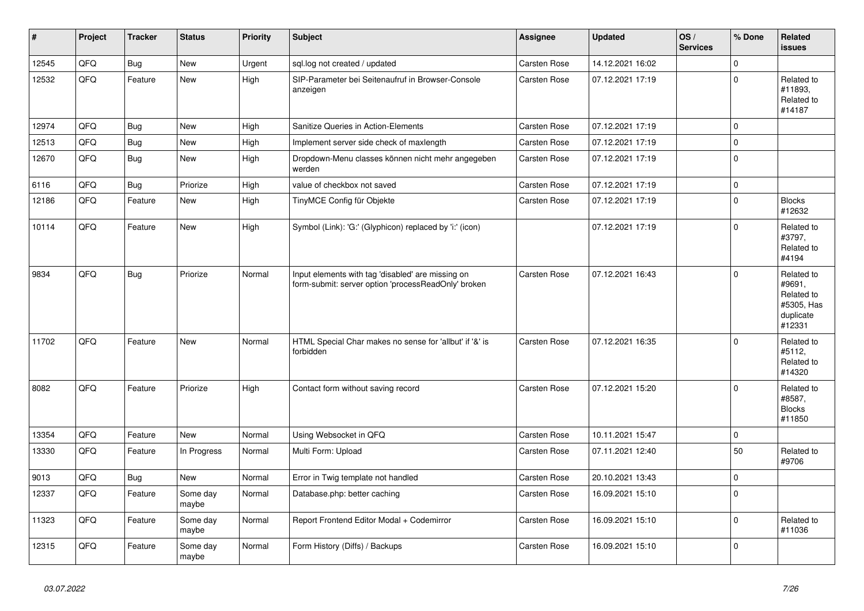| $\vert$ # | Project | <b>Tracker</b> | <b>Status</b>     | <b>Priority</b> | <b>Subject</b>                                                                                           | Assignee            | <b>Updated</b>   | OS/<br><b>Services</b> | % Done       | Related<br><b>issues</b>                                                |
|-----------|---------|----------------|-------------------|-----------------|----------------------------------------------------------------------------------------------------------|---------------------|------------------|------------------------|--------------|-------------------------------------------------------------------------|
| 12545     | QFQ     | <b>Bug</b>     | <b>New</b>        | Urgent          | sql.log not created / updated                                                                            | <b>Carsten Rose</b> | 14.12.2021 16:02 |                        | $\mathbf{0}$ |                                                                         |
| 12532     | QFQ     | Feature        | <b>New</b>        | High            | SIP-Parameter bei Seitenaufruf in Browser-Console<br>anzeigen                                            | Carsten Rose        | 07.12.2021 17:19 |                        | $\Omega$     | Related to<br>#11893,<br>Related to<br>#14187                           |
| 12974     | QFQ     | Bug            | <b>New</b>        | High            | Sanitize Queries in Action-Elements                                                                      | <b>Carsten Rose</b> | 07.12.2021 17:19 |                        | $\Omega$     |                                                                         |
| 12513     | QFQ     | <b>Bug</b>     | New               | High            | Implement server side check of maxlength                                                                 | Carsten Rose        | 07.12.2021 17:19 |                        | $\mathsf 0$  |                                                                         |
| 12670     | QFQ     | <b>Bug</b>     | <b>New</b>        | High            | Dropdown-Menu classes können nicht mehr angegeben<br>werden                                              | Carsten Rose        | 07.12.2021 17:19 |                        | $\mathbf 0$  |                                                                         |
| 6116      | QFQ     | <b>Bug</b>     | Priorize          | High            | value of checkbox not saved                                                                              | <b>Carsten Rose</b> | 07.12.2021 17:19 |                        | $\mathbf 0$  |                                                                         |
| 12186     | QFQ     | Feature        | New               | High            | TinyMCE Config für Objekte                                                                               | <b>Carsten Rose</b> | 07.12.2021 17:19 |                        | $\Omega$     | <b>Blocks</b><br>#12632                                                 |
| 10114     | QFQ     | Feature        | <b>New</b>        | High            | Symbol (Link): 'G:' (Glyphicon) replaced by 'i:' (icon)                                                  |                     | 07.12.2021 17:19 |                        | $\Omega$     | Related to<br>#3797,<br>Related to<br>#4194                             |
| 9834      | QFQ     | Bug            | Priorize          | Normal          | Input elements with tag 'disabled' are missing on<br>form-submit: server option 'processReadOnly' broken | <b>Carsten Rose</b> | 07.12.2021 16:43 |                        | $\Omega$     | Related to<br>#9691,<br>Related to<br>#5305, Has<br>duplicate<br>#12331 |
| 11702     | QFQ     | Feature        | <b>New</b>        | Normal          | HTML Special Char makes no sense for 'allbut' if '&' is<br>forbidden                                     | <b>Carsten Rose</b> | 07.12.2021 16:35 |                        | $\Omega$     | Related to<br>#5112,<br>Related to<br>#14320                            |
| 8082      | QFQ     | Feature        | Priorize          | High            | Contact form without saving record                                                                       | <b>Carsten Rose</b> | 07.12.2021 15:20 |                        | $\Omega$     | Related to<br>#8587,<br><b>Blocks</b><br>#11850                         |
| 13354     | QFQ     | Feature        | <b>New</b>        | Normal          | Using Websocket in QFQ                                                                                   | <b>Carsten Rose</b> | 10.11.2021 15:47 |                        | $\mathbf{0}$ |                                                                         |
| 13330     | QFQ     | Feature        | In Progress       | Normal          | Multi Form: Upload                                                                                       | <b>Carsten Rose</b> | 07.11.2021 12:40 |                        | 50           | Related to<br>#9706                                                     |
| 9013      | QFQ     | Bug            | <b>New</b>        | Normal          | Error in Twig template not handled                                                                       | Carsten Rose        | 20.10.2021 13:43 |                        | $\mathbf 0$  |                                                                         |
| 12337     | QFQ     | Feature        | Some day<br>maybe | Normal          | Database.php: better caching                                                                             | Carsten Rose        | 16.09.2021 15:10 |                        | $\mathbf{0}$ |                                                                         |
| 11323     | QFQ     | Feature        | Some day<br>maybe | Normal          | Report Frontend Editor Modal + Codemirror                                                                | <b>Carsten Rose</b> | 16.09.2021 15:10 |                        | $\Omega$     | Related to<br>#11036                                                    |
| 12315     | QFQ     | Feature        | Some day<br>maybe | Normal          | Form History (Diffs) / Backups                                                                           | Carsten Rose        | 16.09.2021 15:10 |                        | $\Omega$     |                                                                         |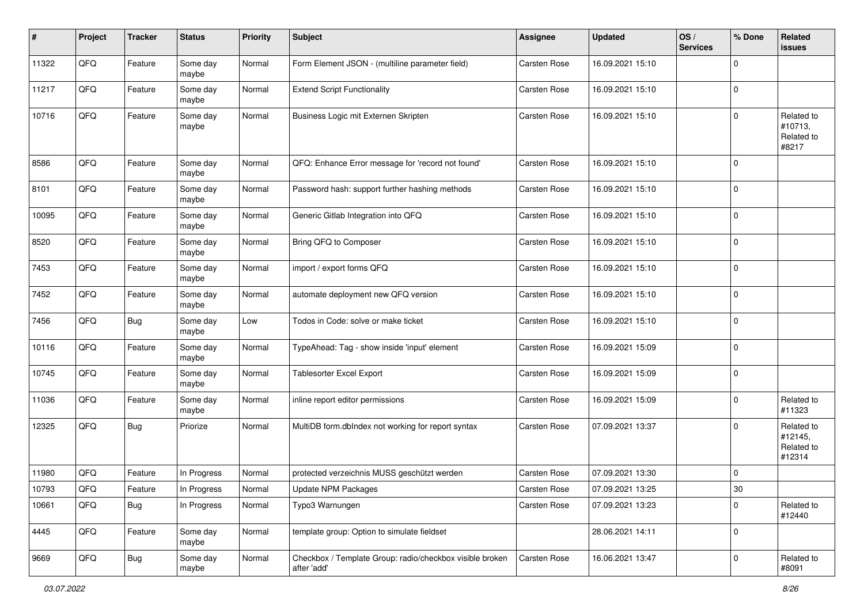| #     | Project        | <b>Tracker</b> | <b>Status</b>     | <b>Priority</b> | <b>Subject</b>                                                          | Assignee            | <b>Updated</b>   | OS/<br><b>Services</b> | % Done      | Related<br><b>issues</b>                      |
|-------|----------------|----------------|-------------------|-----------------|-------------------------------------------------------------------------|---------------------|------------------|------------------------|-------------|-----------------------------------------------|
| 11322 | QFQ            | Feature        | Some day<br>maybe | Normal          | Form Element JSON - (multiline parameter field)                         | Carsten Rose        | 16.09.2021 15:10 |                        | $\mathbf 0$ |                                               |
| 11217 | QFQ            | Feature        | Some day<br>maybe | Normal          | <b>Extend Script Functionality</b>                                      | Carsten Rose        | 16.09.2021 15:10 |                        | $\mathbf 0$ |                                               |
| 10716 | QFQ            | Feature        | Some day<br>maybe | Normal          | Business Logic mit Externen Skripten                                    | Carsten Rose        | 16.09.2021 15:10 |                        | $\mathbf 0$ | Related to<br>#10713,<br>Related to<br>#8217  |
| 8586  | QFQ            | Feature        | Some day<br>maybe | Normal          | QFQ: Enhance Error message for 'record not found'                       | <b>Carsten Rose</b> | 16.09.2021 15:10 |                        | $\mathbf 0$ |                                               |
| 8101  | QFQ            | Feature        | Some day<br>maybe | Normal          | Password hash: support further hashing methods                          | <b>Carsten Rose</b> | 16.09.2021 15:10 |                        | $\mathbf 0$ |                                               |
| 10095 | QFQ            | Feature        | Some day<br>maybe | Normal          | Generic Gitlab Integration into QFQ                                     | Carsten Rose        | 16.09.2021 15:10 |                        | $\mathbf 0$ |                                               |
| 8520  | QFQ            | Feature        | Some day<br>maybe | Normal          | Bring QFQ to Composer                                                   | <b>Carsten Rose</b> | 16.09.2021 15:10 |                        | $\mathbf 0$ |                                               |
| 7453  | QFQ            | Feature        | Some day<br>maybe | Normal          | import / export forms QFQ                                               | <b>Carsten Rose</b> | 16.09.2021 15:10 |                        | $\mathbf 0$ |                                               |
| 7452  | QFQ            | Feature        | Some day<br>maybe | Normal          | automate deployment new QFQ version                                     | <b>Carsten Rose</b> | 16.09.2021 15:10 |                        | $\Omega$    |                                               |
| 7456  | QFQ            | <b>Bug</b>     | Some day<br>maybe | Low             | Todos in Code: solve or make ticket                                     | Carsten Rose        | 16.09.2021 15:10 |                        | $\mathbf 0$ |                                               |
| 10116 | QFQ            | Feature        | Some day<br>maybe | Normal          | TypeAhead: Tag - show inside 'input' element                            | <b>Carsten Rose</b> | 16.09.2021 15:09 |                        | $\mathbf 0$ |                                               |
| 10745 | QFQ            | Feature        | Some day<br>maybe | Normal          | <b>Tablesorter Excel Export</b>                                         | <b>Carsten Rose</b> | 16.09.2021 15:09 |                        | $\mathbf 0$ |                                               |
| 11036 | QFQ            | Feature        | Some day<br>maybe | Normal          | inline report editor permissions                                        | Carsten Rose        | 16.09.2021 15:09 |                        | $\mathbf 0$ | Related to<br>#11323                          |
| 12325 | QFQ            | <b>Bug</b>     | Priorize          | Normal          | MultiDB form.dblndex not working for report syntax                      | Carsten Rose        | 07.09.2021 13:37 |                        | $\Omega$    | Related to<br>#12145,<br>Related to<br>#12314 |
| 11980 | QFQ            | Feature        | In Progress       | Normal          | protected verzeichnis MUSS geschützt werden                             | Carsten Rose        | 07.09.2021 13:30 |                        | 0           |                                               |
| 10793 | $\mathsf{QFQ}$ | Feature        | In Progress       | Normal          | Update NPM Packages                                                     | Carsten Rose        | 07.09.2021 13:25 |                        | $30\,$      |                                               |
| 10661 | QFQ            | Bug            | In Progress       | Normal          | Typo3 Warnungen                                                         | Carsten Rose        | 07.09.2021 13:23 |                        | 0           | Related to<br>#12440                          |
| 4445  | QFQ            | Feature        | Some day<br>maybe | Normal          | template group: Option to simulate fieldset                             |                     | 28.06.2021 14:11 |                        | 0           |                                               |
| 9669  | QFQ            | <b>Bug</b>     | Some day<br>maybe | Normal          | Checkbox / Template Group: radio/checkbox visible broken<br>after 'add' | Carsten Rose        | 16.06.2021 13:47 |                        | $\mathbf 0$ | Related to<br>#8091                           |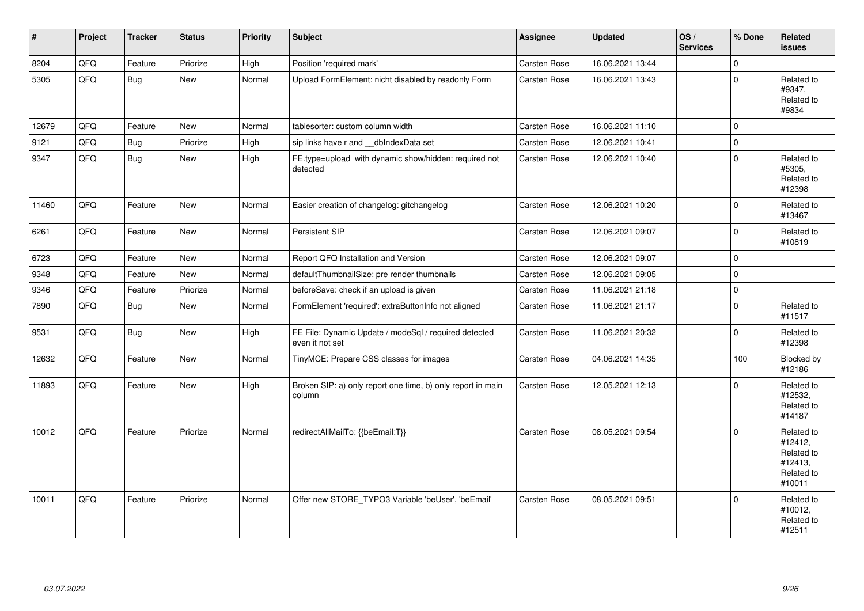| $\vert$ # | Project | <b>Tracker</b> | <b>Status</b> | <b>Priority</b> | <b>Subject</b>                                                           | Assignee            | <b>Updated</b>   | OS/<br><b>Services</b> | % Done       | Related<br><b>issues</b>                                               |
|-----------|---------|----------------|---------------|-----------------|--------------------------------------------------------------------------|---------------------|------------------|------------------------|--------------|------------------------------------------------------------------------|
| 8204      | QFQ     | Feature        | Priorize      | High            | Position 'required mark'                                                 | <b>Carsten Rose</b> | 16.06.2021 13:44 |                        | $\Omega$     |                                                                        |
| 5305      | QFQ     | <b>Bug</b>     | New           | Normal          | Upload FormElement: nicht disabled by readonly Form                      | Carsten Rose        | 16.06.2021 13:43 |                        | $\Omega$     | Related to<br>#9347,<br>Related to<br>#9834                            |
| 12679     | QFQ     | Feature        | <b>New</b>    | Normal          | tablesorter: custom column width                                         | Carsten Rose        | 16.06.2021 11:10 |                        | $\mathbf 0$  |                                                                        |
| 9121      | QFQ     | Bug            | Priorize      | High            | sip links have r and __dbIndexData set                                   | <b>Carsten Rose</b> | 12.06.2021 10:41 |                        | $\mathbf 0$  |                                                                        |
| 9347      | QFQ     | Bug            | <b>New</b>    | High            | FE.type=upload with dynamic show/hidden: required not<br>detected        | Carsten Rose        | 12.06.2021 10:40 |                        | $\Omega$     | Related to<br>#5305.<br>Related to<br>#12398                           |
| 11460     | QFQ     | Feature        | <b>New</b>    | Normal          | Easier creation of changelog: gitchangelog                               | Carsten Rose        | 12.06.2021 10:20 |                        | $\Omega$     | Related to<br>#13467                                                   |
| 6261      | QFQ     | Feature        | <b>New</b>    | Normal          | Persistent SIP                                                           | Carsten Rose        | 12.06.2021 09:07 |                        | $\Omega$     | Related to<br>#10819                                                   |
| 6723      | QFQ     | Feature        | <b>New</b>    | Normal          | Report QFQ Installation and Version                                      | Carsten Rose        | 12.06.2021 09:07 |                        | $\Omega$     |                                                                        |
| 9348      | QFQ     | Feature        | New           | Normal          | defaultThumbnailSize: pre render thumbnails                              | <b>Carsten Rose</b> | 12.06.2021 09:05 |                        | $\mathbf{0}$ |                                                                        |
| 9346      | QFQ     | Feature        | Priorize      | Normal          | beforeSave: check if an upload is given                                  | Carsten Rose        | 11.06.2021 21:18 |                        | $\mathbf 0$  |                                                                        |
| 7890      | QFQ     | Bug            | New           | Normal          | FormElement 'required': extraButtonInfo not aligned                      | Carsten Rose        | 11.06.2021 21:17 |                        | $\mathbf 0$  | Related to<br>#11517                                                   |
| 9531      | QFQ     | Bug            | <b>New</b>    | High            | FE File: Dynamic Update / modeSql / required detected<br>even it not set | Carsten Rose        | 11.06.2021 20:32 |                        | $\mathbf{0}$ | Related to<br>#12398                                                   |
| 12632     | QFQ     | Feature        | New           | Normal          | TinyMCE: Prepare CSS classes for images                                  | Carsten Rose        | 04.06.2021 14:35 |                        | 100          | Blocked by<br>#12186                                                   |
| 11893     | QFQ     | Feature        | New           | High            | Broken SIP: a) only report one time, b) only report in main<br>column    | <b>Carsten Rose</b> | 12.05.2021 12:13 |                        | $\Omega$     | Related to<br>#12532,<br>Related to<br>#14187                          |
| 10012     | QFQ     | Feature        | Priorize      | Normal          | redirectAllMailTo: {{beEmail:T}}                                         | Carsten Rose        | 08.05.2021 09:54 |                        | $\Omega$     | Related to<br>#12412,<br>Related to<br>#12413,<br>Related to<br>#10011 |
| 10011     | QFQ     | Feature        | Priorize      | Normal          | Offer new STORE TYPO3 Variable 'beUser', 'beEmail'                       | <b>Carsten Rose</b> | 08.05.2021 09:51 |                        | $\Omega$     | Related to<br>#10012,<br>Related to<br>#12511                          |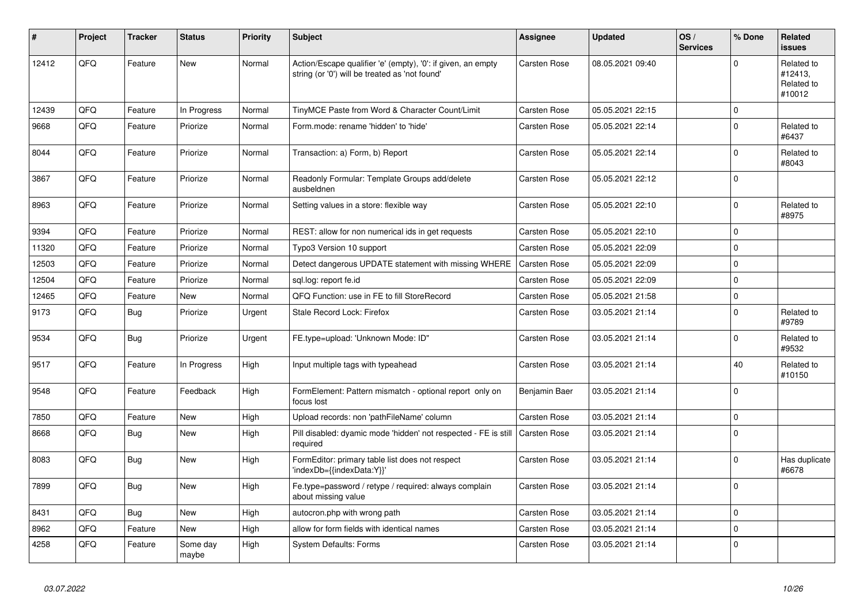| ∦     | Project | <b>Tracker</b> | <b>Status</b>     | <b>Priority</b> | <b>Subject</b>                                                                                                 | Assignee            | <b>Updated</b>   | OS/<br><b>Services</b> | % Done      | Related<br><b>issues</b>                      |
|-------|---------|----------------|-------------------|-----------------|----------------------------------------------------------------------------------------------------------------|---------------------|------------------|------------------------|-------------|-----------------------------------------------|
| 12412 | QFQ     | Feature        | <b>New</b>        | Normal          | Action/Escape qualifier 'e' (empty), '0': if given, an empty<br>string (or '0') will be treated as 'not found' | Carsten Rose        | 08.05.2021 09:40 |                        | $\Omega$    | Related to<br>#12413,<br>Related to<br>#10012 |
| 12439 | QFQ     | Feature        | In Progress       | Normal          | TinyMCE Paste from Word & Character Count/Limit                                                                | Carsten Rose        | 05.05.2021 22:15 |                        | $\mathbf 0$ |                                               |
| 9668  | QFQ     | Feature        | Priorize          | Normal          | Form.mode: rename 'hidden' to 'hide'                                                                           | <b>Carsten Rose</b> | 05.05.2021 22:14 |                        | $\Omega$    | Related to<br>#6437                           |
| 8044  | QFQ     | Feature        | Priorize          | Normal          | Transaction: a) Form, b) Report                                                                                | Carsten Rose        | 05.05.2021 22:14 |                        | 0           | Related to<br>#8043                           |
| 3867  | QFQ     | Feature        | Priorize          | Normal          | Readonly Formular: Template Groups add/delete<br>ausbeldnen                                                    | Carsten Rose        | 05.05.2021 22:12 |                        | $\Omega$    |                                               |
| 8963  | QFQ     | Feature        | Priorize          | Normal          | Setting values in a store: flexible way                                                                        | <b>Carsten Rose</b> | 05.05.2021 22:10 |                        | $\mathbf 0$ | Related to<br>#8975                           |
| 9394  | QFQ     | Feature        | Priorize          | Normal          | REST: allow for non numerical ids in get requests                                                              | Carsten Rose        | 05.05.2021 22:10 |                        | $\mathbf 0$ |                                               |
| 11320 | QFQ     | Feature        | Priorize          | Normal          | Typo3 Version 10 support                                                                                       | Carsten Rose        | 05.05.2021 22:09 |                        | $\Omega$    |                                               |
| 12503 | QFQ     | Feature        | Priorize          | Normal          | Detect dangerous UPDATE statement with missing WHERE                                                           | Carsten Rose        | 05.05.2021 22:09 |                        | $\mathbf 0$ |                                               |
| 12504 | QFQ     | Feature        | Priorize          | Normal          | sql.log: report fe.id                                                                                          | Carsten Rose        | 05.05.2021 22:09 |                        | $\Omega$    |                                               |
| 12465 | QFQ     | Feature        | <b>New</b>        | Normal          | QFQ Function: use in FE to fill StoreRecord                                                                    | Carsten Rose        | 05.05.2021 21:58 |                        | $\mathbf 0$ |                                               |
| 9173  | QFQ     | Bug            | Priorize          | Urgent          | <b>Stale Record Lock: Firefox</b>                                                                              | Carsten Rose        | 03.05.2021 21:14 |                        | $\Omega$    | Related to<br>#9789                           |
| 9534  | QFQ     | Bug            | Priorize          | Urgent          | FE.type=upload: 'Unknown Mode: ID"                                                                             | Carsten Rose        | 03.05.2021 21:14 |                        | $\mathbf 0$ | Related to<br>#9532                           |
| 9517  | QFQ     | Feature        | In Progress       | High            | Input multiple tags with typeahead                                                                             | Carsten Rose        | 03.05.2021 21:14 |                        | 40          | Related to<br>#10150                          |
| 9548  | QFQ     | Feature        | Feedback          | High            | FormElement: Pattern mismatch - optional report only on<br>focus lost                                          | Benjamin Baer       | 03.05.2021 21:14 |                        | $\Omega$    |                                               |
| 7850  | QFQ     | Feature        | <b>New</b>        | High            | Upload records: non 'pathFileName' column                                                                      | Carsten Rose        | 03.05.2021 21:14 |                        | 0           |                                               |
| 8668  | QFQ     | Bug            | New               | High            | Pill disabled: dyamic mode 'hidden' not respected - FE is still<br>required                                    | <b>Carsten Rose</b> | 03.05.2021 21:14 |                        | $\Omega$    |                                               |
| 8083  | QFQ     | Bug            | <b>New</b>        | High            | FormEditor: primary table list does not respect<br>'indexDb={{indexData:Y}}'                                   | <b>Carsten Rose</b> | 03.05.2021 21:14 |                        | $\Omega$    | Has duplicate<br>#6678                        |
| 7899  | QFQ     | Bug            | <b>New</b>        | High            | Fe.type=password / retype / required: always complain<br>about missing value                                   | Carsten Rose        | 03.05.2021 21:14 |                        | $\Omega$    |                                               |
| 8431  | QFQ     | <b>Bug</b>     | <b>New</b>        | High            | autocron.php with wrong path                                                                                   | <b>Carsten Rose</b> | 03.05.2021 21:14 |                        | $\mathbf 0$ |                                               |
| 8962  | QFQ     | Feature        | New               | High            | allow for form fields with identical names                                                                     | <b>Carsten Rose</b> | 03.05.2021 21:14 |                        | $\mathbf 0$ |                                               |
| 4258  | QFQ     | Feature        | Some day<br>maybe | High            | <b>System Defaults: Forms</b>                                                                                  | <b>Carsten Rose</b> | 03.05.2021 21:14 |                        | $\mathbf 0$ |                                               |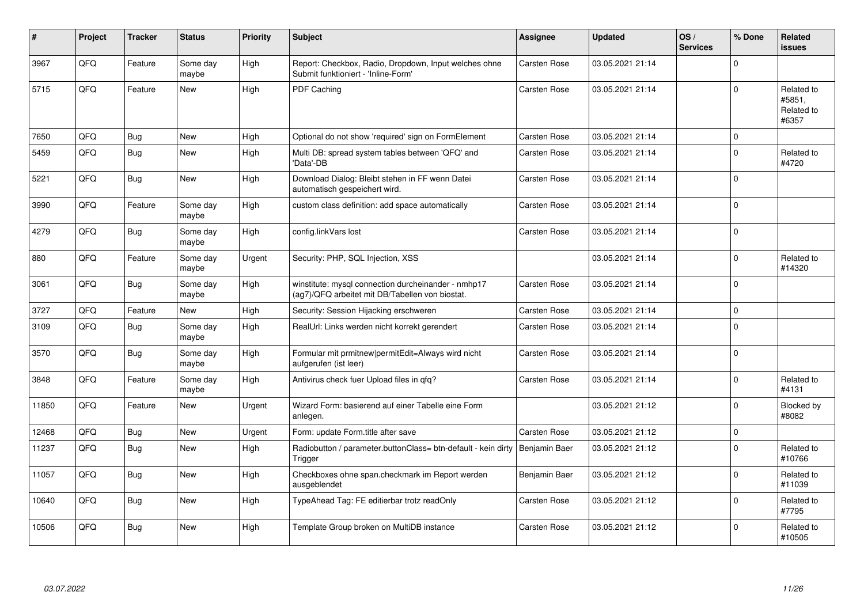| #     | Project | <b>Tracker</b> | <b>Status</b>     | Priority | <b>Subject</b>                                                                                         | <b>Assignee</b>     | <b>Updated</b>   | OS/<br><b>Services</b> | % Done      | Related<br><b>issues</b>                    |
|-------|---------|----------------|-------------------|----------|--------------------------------------------------------------------------------------------------------|---------------------|------------------|------------------------|-------------|---------------------------------------------|
| 3967  | QFQ     | Feature        | Some day<br>maybe | High     | Report: Checkbox, Radio, Dropdown, Input welches ohne<br>Submit funktioniert - 'Inline-Form'           | Carsten Rose        | 03.05.2021 21:14 |                        | $\Omega$    |                                             |
| 5715  | QFQ     | Feature        | New               | High     | PDF Caching                                                                                            | Carsten Rose        | 03.05.2021 21:14 |                        | $\Omega$    | Related to<br>#5851,<br>Related to<br>#6357 |
| 7650  | QFQ     | Bug            | <b>New</b>        | High     | Optional do not show 'required' sign on FormElement                                                    | <b>Carsten Rose</b> | 03.05.2021 21:14 |                        | $\mathbf 0$ |                                             |
| 5459  | QFQ     | Bug            | New               | High     | Multi DB: spread system tables between 'QFQ' and<br>'Data'-DB                                          | <b>Carsten Rose</b> | 03.05.2021 21:14 |                        | $\mathbf 0$ | Related to<br>#4720                         |
| 5221  | QFQ     | <b>Bug</b>     | <b>New</b>        | High     | Download Dialog: Bleibt stehen in FF wenn Datei<br>automatisch gespeichert wird.                       | Carsten Rose        | 03.05.2021 21:14 |                        | $\Omega$    |                                             |
| 3990  | QFQ     | Feature        | Some day<br>maybe | High     | custom class definition: add space automatically                                                       | <b>Carsten Rose</b> | 03.05.2021 21:14 |                        | $\mathbf 0$ |                                             |
| 4279  | QFQ     | <b>Bug</b>     | Some day<br>maybe | High     | config.linkVars lost                                                                                   | Carsten Rose        | 03.05.2021 21:14 |                        | $\mathbf 0$ |                                             |
| 880   | QFQ     | Feature        | Some day<br>maybe | Urgent   | Security: PHP, SQL Injection, XSS                                                                      |                     | 03.05.2021 21:14 |                        | $\Omega$    | Related to<br>#14320                        |
| 3061  | QFQ     | Bug            | Some day<br>maybe | High     | winstitute: mysql connection durcheinander - nmhp17<br>(ag7)/QFQ arbeitet mit DB/Tabellen von biostat. | Carsten Rose        | 03.05.2021 21:14 |                        | $\Omega$    |                                             |
| 3727  | QFQ     | Feature        | <b>New</b>        | High     | Security: Session Hijacking erschweren                                                                 | Carsten Rose        | 03.05.2021 21:14 |                        | $\pmb{0}$   |                                             |
| 3109  | QFQ     | <b>Bug</b>     | Some day<br>maybe | High     | RealUrl: Links werden nicht korrekt gerendert                                                          | <b>Carsten Rose</b> | 03.05.2021 21:14 |                        | $\Omega$    |                                             |
| 3570  | QFQ     | <b>Bug</b>     | Some day<br>maybe | High     | Formular mit prmitnew permitEdit=Always wird nicht<br>aufgerufen (ist leer)                            | Carsten Rose        | 03.05.2021 21:14 |                        | $\Omega$    |                                             |
| 3848  | QFQ     | Feature        | Some day<br>maybe | High     | Antivirus check fuer Upload files in qfq?                                                              | <b>Carsten Rose</b> | 03.05.2021 21:14 |                        | $\Omega$    | Related to<br>#4131                         |
| 11850 | QFQ     | Feature        | <b>New</b>        | Urgent   | Wizard Form: basierend auf einer Tabelle eine Form<br>anlegen.                                         |                     | 03.05.2021 21:12 |                        | $\Omega$    | Blocked by<br>#8082                         |
| 12468 | QFQ     | <b>Bug</b>     | New               | Urgent   | Form: update Form.title after save                                                                     | <b>Carsten Rose</b> | 03.05.2021 21:12 |                        | $\mathbf 0$ |                                             |
| 11237 | QFQ     | Bug            | <b>New</b>        | High     | Radiobutton / parameter.buttonClass= btn-default - kein dirty<br>Trigger                               | Benjamin Baer       | 03.05.2021 21:12 |                        | $\mathbf 0$ | Related to<br>#10766                        |
| 11057 | QFQ     | Bug            | New               | High     | Checkboxes ohne span.checkmark im Report werden<br>ausgeblendet                                        | Benjamin Baer       | 03.05.2021 21:12 |                        | $\Omega$    | Related to<br>#11039                        |
| 10640 | QFQ     | Bug            | <b>New</b>        | High     | TypeAhead Tag: FE editierbar trotz readOnly                                                            | Carsten Rose        | 03.05.2021 21:12 |                        | $\Omega$    | Related to<br>#7795                         |
| 10506 | QFQ     | Bug            | New               | High     | Template Group broken on MultiDB instance                                                              | <b>Carsten Rose</b> | 03.05.2021 21:12 |                        | $\Omega$    | Related to<br>#10505                        |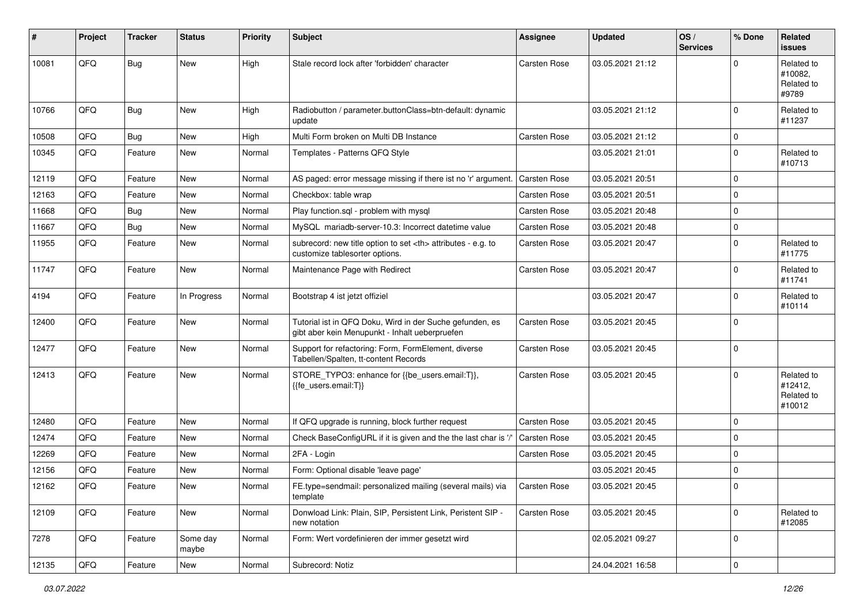| #     | Project | <b>Tracker</b> | <b>Status</b>     | <b>Priority</b> | <b>Subject</b>                                                                                             | <b>Assignee</b>                                        | <b>Updated</b>   | OS/<br><b>Services</b> | % Done      | Related<br><b>issues</b>                      |                      |
|-------|---------|----------------|-------------------|-----------------|------------------------------------------------------------------------------------------------------------|--------------------------------------------------------|------------------|------------------------|-------------|-----------------------------------------------|----------------------|
| 10081 | QFQ     | <b>Bug</b>     | New               | High            | Stale record lock after 'forbidden' character                                                              | Carsten Rose                                           | 03.05.2021 21:12 |                        | $\Omega$    | Related to<br>#10082.<br>Related to<br>#9789  |                      |
| 10766 | QFQ     | <b>Bug</b>     | New               | High            | Radiobutton / parameter.buttonClass=btn-default: dynamic<br>update                                         |                                                        | 03.05.2021 21:12 |                        | 0           | Related to<br>#11237                          |                      |
| 10508 | QFQ     | <b>Bug</b>     | New               | High            | Multi Form broken on Multi DB Instance                                                                     | Carsten Rose                                           | 03.05.2021 21:12 |                        | 0           |                                               |                      |
| 10345 | QFQ     | Feature        | New               | Normal          | Templates - Patterns QFQ Style                                                                             |                                                        | 03.05.2021 21:01 |                        | $\mathbf 0$ | Related to<br>#10713                          |                      |
| 12119 | QFQ     | Feature        | New               | Normal          | AS paged: error message missing if there ist no 'r' argument.                                              | <b>Carsten Rose</b>                                    | 03.05.2021 20:51 |                        | 0           |                                               |                      |
| 12163 | QFQ     | Feature        | <b>New</b>        | Normal          | Checkbox: table wrap                                                                                       | Carsten Rose                                           | 03.05.2021 20:51 |                        | 0           |                                               |                      |
| 11668 | QFQ     | <b>Bug</b>     | New               | Normal          | Play function.sql - problem with mysql                                                                     | Carsten Rose                                           | 03.05.2021 20:48 |                        | $\mathbf 0$ |                                               |                      |
| 11667 | QFQ     | <b>Bug</b>     | New               | Normal          | MySQL mariadb-server-10.3: Incorrect datetime value                                                        | Carsten Rose                                           | 03.05.2021 20:48 |                        | $\mathbf 0$ |                                               |                      |
| 11955 | QFQ     | Feature        | <b>New</b>        | Normal          | subrecord: new title option to set <th> attributes - e.g. to<br/>customize tablesorter options.</th>       | attributes - e.g. to<br>customize tablesorter options. | Carsten Rose     | 03.05.2021 20:47       |             | $\mathbf 0$                                   | Related to<br>#11775 |
| 11747 | QFQ     | Feature        | New               | Normal          | Maintenance Page with Redirect                                                                             | Carsten Rose                                           | 03.05.2021 20:47 |                        | 0           | Related to<br>#11741                          |                      |
| 4194  | QFQ     | Feature        | In Progress       | Normal          | Bootstrap 4 ist jetzt offiziel                                                                             |                                                        | 03.05.2021 20:47 |                        | $\mathbf 0$ | Related to<br>#10114                          |                      |
| 12400 | QFQ     | Feature        | New               | Normal          | Tutorial ist in QFQ Doku, Wird in der Suche gefunden, es<br>gibt aber kein Menupunkt - Inhalt ueberpruefen | <b>Carsten Rose</b>                                    | 03.05.2021 20:45 |                        | $\mathbf 0$ |                                               |                      |
| 12477 | QFQ     | Feature        | New               | Normal          | Support for refactoring: Form, FormElement, diverse<br>Tabellen/Spalten, tt-content Records                | <b>Carsten Rose</b>                                    | 03.05.2021 20:45 |                        | $\mathbf 0$ |                                               |                      |
| 12413 | QFQ     | Feature        | New               | Normal          | STORE_TYPO3: enhance for {{be_users.email:T}},<br>{{fe users.email:T}}                                     | Carsten Rose                                           | 03.05.2021 20:45 |                        | $\Omega$    | Related to<br>#12412,<br>Related to<br>#10012 |                      |
| 12480 | QFQ     | Feature        | New               | Normal          | If QFQ upgrade is running, block further request                                                           | <b>Carsten Rose</b>                                    | 03.05.2021 20:45 |                        | 0           |                                               |                      |
| 12474 | QFQ     | Feature        | New               | Normal          | Check BaseConfigURL if it is given and the the last char is '/'                                            | <b>Carsten Rose</b>                                    | 03.05.2021 20:45 |                        | 0           |                                               |                      |
| 12269 | QFQ     | Feature        | <b>New</b>        | Normal          | 2FA - Login                                                                                                | Carsten Rose                                           | 03.05.2021 20:45 |                        | 0           |                                               |                      |
| 12156 | QFQ     | Feature        | <b>New</b>        | Normal          | Form: Optional disable 'leave page'                                                                        |                                                        | 03.05.2021 20:45 |                        | $\mathbf 0$ |                                               |                      |
| 12162 | QFQ     | Feature        | New               | Normal          | FE.type=sendmail: personalized mailing (several mails) via<br>template                                     | <b>Carsten Rose</b>                                    | 03.05.2021 20:45 |                        | $\mathbf 0$ |                                               |                      |
| 12109 | QFQ     | Feature        | New               | Normal          | Donwload Link: Plain, SIP, Persistent Link, Peristent SIP -<br>new notation                                | Carsten Rose                                           | 03.05.2021 20:45 |                        | $\mathbf 0$ | Related to<br>#12085                          |                      |
| 7278  | QFQ     | Feature        | Some day<br>maybe | Normal          | Form: Wert vordefinieren der immer gesetzt wird                                                            |                                                        | 02.05.2021 09:27 |                        | 0           |                                               |                      |
| 12135 | QFQ     | Feature        | New               | Normal          | Subrecord: Notiz                                                                                           |                                                        | 24.04.2021 16:58 |                        | $\pmb{0}$   |                                               |                      |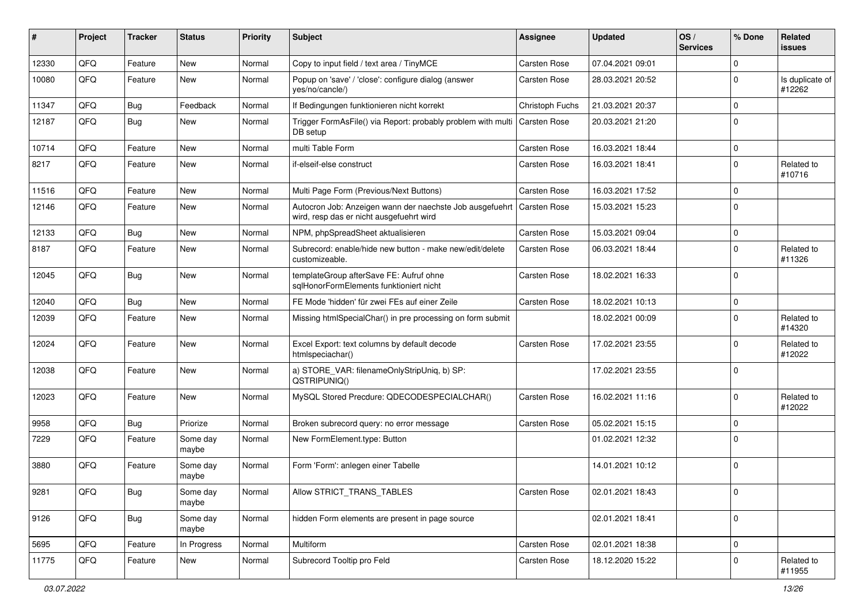| ∦     | Project | <b>Tracker</b> | <b>Status</b>     | <b>Priority</b> | Subject                                                                                              | Assignee            | <b>Updated</b>   | OS/<br><b>Services</b> | % Done      | Related<br><b>issues</b>  |
|-------|---------|----------------|-------------------|-----------------|------------------------------------------------------------------------------------------------------|---------------------|------------------|------------------------|-------------|---------------------------|
| 12330 | QFQ     | Feature        | New               | Normal          | Copy to input field / text area / TinyMCE                                                            | Carsten Rose        | 07.04.2021 09:01 |                        | $\mathbf 0$ |                           |
| 10080 | QFQ     | Feature        | <b>New</b>        | Normal          | Popup on 'save' / 'close': configure dialog (answer<br>ves/no/cancle/)                               | <b>Carsten Rose</b> | 28.03.2021 20:52 |                        | $\mathbf 0$ | Is duplicate of<br>#12262 |
| 11347 | QFQ     | Bug            | Feedback          | Normal          | If Bedingungen funktionieren nicht korrekt                                                           | Christoph Fuchs     | 21.03.2021 20:37 |                        | $\mathbf 0$ |                           |
| 12187 | QFQ     | Bug            | <b>New</b>        | Normal          | Trigger FormAsFile() via Report: probably problem with multi<br>DB setup                             | Carsten Rose        | 20.03.2021 21:20 |                        | $\mathbf 0$ |                           |
| 10714 | QFQ     | Feature        | New               | Normal          | multi Table Form                                                                                     | <b>Carsten Rose</b> | 16.03.2021 18:44 |                        | 0           |                           |
| 8217  | QFQ     | Feature        | <b>New</b>        | Normal          | if-elseif-else construct                                                                             | <b>Carsten Rose</b> | 16.03.2021 18:41 |                        | $\Omega$    | Related to<br>#10716      |
| 11516 | QFQ     | Feature        | <b>New</b>        | Normal          | Multi Page Form (Previous/Next Buttons)                                                              | <b>Carsten Rose</b> | 16.03.2021 17:52 |                        | $\mathbf 0$ |                           |
| 12146 | QFQ     | Feature        | New               | Normal          | Autocron Job: Anzeigen wann der naechste Job ausgefuehrt<br>wird, resp das er nicht ausgefuehrt wird | Carsten Rose        | 15.03.2021 15:23 |                        | $\mathbf 0$ |                           |
| 12133 | QFQ     | Bug            | <b>New</b>        | Normal          | NPM, phpSpreadSheet aktualisieren                                                                    | <b>Carsten Rose</b> | 15.03.2021 09:04 |                        | $\mathbf 0$ |                           |
| 8187  | QFQ     | Feature        | New               | Normal          | Subrecord: enable/hide new button - make new/edit/delete<br>customizeable.                           | <b>Carsten Rose</b> | 06.03.2021 18:44 |                        | $\Omega$    | Related to<br>#11326      |
| 12045 | QFQ     | Bug            | <b>New</b>        | Normal          | templateGroup afterSave FE: Aufruf ohne<br>sqlHonorFormElements funktioniert nicht                   | <b>Carsten Rose</b> | 18.02.2021 16:33 |                        | $\Omega$    |                           |
| 12040 | QFQ     | Bug            | New               | Normal          | FE Mode 'hidden' für zwei FEs auf einer Zeile                                                        | Carsten Rose        | 18.02.2021 10:13 |                        | 0           |                           |
| 12039 | QFQ     | Feature        | <b>New</b>        | Normal          | Missing htmlSpecialChar() in pre processing on form submit                                           |                     | 18.02.2021 00:09 |                        | $\mathbf 0$ | Related to<br>#14320      |
| 12024 | QFQ     | Feature        | New               | Normal          | Excel Export: text columns by default decode<br>htmlspeciachar()                                     | <b>Carsten Rose</b> | 17.02.2021 23:55 |                        | $\mathbf 0$ | Related to<br>#12022      |
| 12038 | QFQ     | Feature        | New               | Normal          | a) STORE_VAR: filenameOnlyStripUniq, b) SP:<br>QSTRIPUNIQ()                                          |                     | 17.02.2021 23:55 |                        | $\mathbf 0$ |                           |
| 12023 | QFQ     | Feature        | <b>New</b>        | Normal          | MySQL Stored Precdure: QDECODESPECIALCHAR()                                                          | <b>Carsten Rose</b> | 16.02.2021 11:16 |                        | $\mathbf 0$ | Related to<br>#12022      |
| 9958  | QFQ     | Bug            | Priorize          | Normal          | Broken subrecord query: no error message                                                             | <b>Carsten Rose</b> | 05.02.2021 15:15 |                        | $\mathbf 0$ |                           |
| 7229  | QFQ     | Feature        | Some day<br>maybe | Normal          | New FormElement.type: Button                                                                         |                     | 01.02.2021 12:32 |                        | $\mathbf 0$ |                           |
| 3880  | QFQ     | Feature        | Some day<br>maybe | Normal          | Form 'Form': anlegen einer Tabelle                                                                   |                     | 14.01.2021 10:12 |                        | $\Omega$    |                           |
| 9281  | QFQ     | Bug            | Some day<br>maybe | Normal          | Allow STRICT_TRANS_TABLES                                                                            | Carsten Rose        | 02.01.2021 18:43 |                        | 0           |                           |
| 9126  | QFQ     | <b>Bug</b>     | Some day<br>maybe | Normal          | hidden Form elements are present in page source                                                      |                     | 02.01.2021 18:41 |                        | $\mathbf 0$ |                           |
| 5695  | QFQ     | Feature        | In Progress       | Normal          | Multiform                                                                                            | Carsten Rose        | 02.01.2021 18:38 |                        | 0           |                           |
| 11775 | QFQ     | Feature        | New               | Normal          | Subrecord Tooltip pro Feld                                                                           | Carsten Rose        | 18.12.2020 15:22 |                        | 0           | Related to<br>#11955      |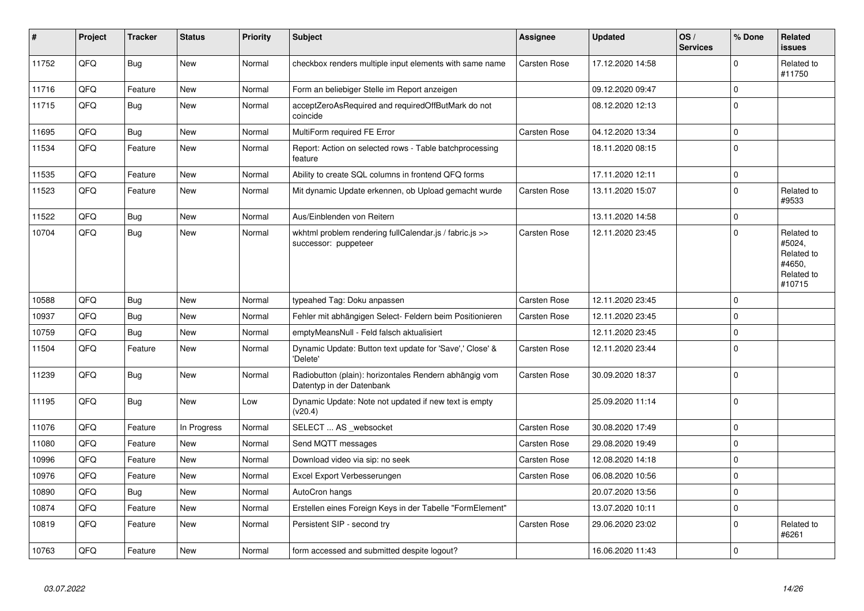| #     | Project | <b>Tracker</b> | <b>Status</b> | <b>Priority</b> | <b>Subject</b>                                                                      | Assignee            | <b>Updated</b>   | OS/<br><b>Services</b> | % Done      | <b>Related</b><br><b>issues</b>                                      |
|-------|---------|----------------|---------------|-----------------|-------------------------------------------------------------------------------------|---------------------|------------------|------------------------|-------------|----------------------------------------------------------------------|
| 11752 | QFQ     | Bug            | <b>New</b>    | Normal          | checkbox renders multiple input elements with same name                             | Carsten Rose        | 17.12.2020 14:58 |                        | 0           | Related to<br>#11750                                                 |
| 11716 | QFQ     | Feature        | <b>New</b>    | Normal          | Form an beliebiger Stelle im Report anzeigen                                        |                     | 09.12.2020 09:47 |                        | $\mathbf 0$ |                                                                      |
| 11715 | QFQ     | Bug            | <b>New</b>    | Normal          | acceptZeroAsRequired and requiredOffButMark do not<br>coincide                      |                     | 08.12.2020 12:13 |                        | $\Omega$    |                                                                      |
| 11695 | QFQ     | Bug            | <b>New</b>    | Normal          | MultiForm required FE Error                                                         | <b>Carsten Rose</b> | 04.12.2020 13:34 |                        | 0           |                                                                      |
| 11534 | QFQ     | Feature        | New           | Normal          | Report: Action on selected rows - Table batchprocessing<br>feature                  |                     | 18.11.2020 08:15 |                        | $\mathbf 0$ |                                                                      |
| 11535 | QFQ     | Feature        | <b>New</b>    | Normal          | Ability to create SQL columns in frontend QFQ forms                                 |                     | 17.11.2020 12:11 |                        | $\pmb{0}$   |                                                                      |
| 11523 | QFQ     | Feature        | <b>New</b>    | Normal          | Mit dynamic Update erkennen, ob Upload gemacht wurde                                | <b>Carsten Rose</b> | 13.11.2020 15:07 |                        | $\Omega$    | Related to<br>#9533                                                  |
| 11522 | QFQ     | <b>Bug</b>     | <b>New</b>    | Normal          | Aus/Einblenden von Reitern                                                          |                     | 13.11.2020 14:58 |                        | $\mathbf 0$ |                                                                      |
| 10704 | QFQ     | Bug            | <b>New</b>    | Normal          | wkhtml problem rendering fullCalendar.js / fabric.js >><br>successor: puppeteer     | <b>Carsten Rose</b> | 12.11.2020 23:45 |                        | $\Omega$    | Related to<br>#5024,<br>Related to<br>#4650,<br>Related to<br>#10715 |
| 10588 | QFQ     | Bug            | <b>New</b>    | Normal          | typeahed Tag: Doku anpassen                                                         | Carsten Rose        | 12.11.2020 23:45 |                        | $\mathbf 0$ |                                                                      |
| 10937 | QFQ     | Bug            | <b>New</b>    | Normal          | Fehler mit abhängigen Select- Feldern beim Positionieren                            | <b>Carsten Rose</b> | 12.11.2020 23:45 |                        | $\Omega$    |                                                                      |
| 10759 | QFQ     | Bug            | <b>New</b>    | Normal          | emptyMeansNull - Feld falsch aktualisiert                                           |                     | 12.11.2020 23:45 |                        | $\mathbf 0$ |                                                                      |
| 11504 | QFQ     | Feature        | <b>New</b>    | Normal          | Dynamic Update: Button text update for 'Save',' Close' &<br>'Delete'                | Carsten Rose        | 12.11.2020 23:44 |                        | $\Omega$    |                                                                      |
| 11239 | QFQ     | Bug            | <b>New</b>    | Normal          | Radiobutton (plain): horizontales Rendern abhängig vom<br>Datentyp in der Datenbank | <b>Carsten Rose</b> | 30.09.2020 18:37 |                        | $\Omega$    |                                                                      |
| 11195 | QFQ     | Bug            | <b>New</b>    | Low             | Dynamic Update: Note not updated if new text is empty<br>(v20.4)                    |                     | 25.09.2020 11:14 |                        | $\Omega$    |                                                                      |
| 11076 | QFQ     | Feature        | In Progress   | Normal          | SELECT  AS _websocket                                                               | <b>Carsten Rose</b> | 30.08.2020 17:49 |                        | $\mathbf 0$ |                                                                      |
| 11080 | QFQ     | Feature        | <b>New</b>    | Normal          | Send MQTT messages                                                                  | <b>Carsten Rose</b> | 29.08.2020 19:49 |                        | 0           |                                                                      |
| 10996 | QFQ     | Feature        | <b>New</b>    | Normal          | Download video via sip: no seek                                                     | Carsten Rose        | 12.08.2020 14:18 |                        | $\mathbf 0$ |                                                                      |
| 10976 | QFQ     | Feature        | New           | Normal          | Excel Export Verbesserungen                                                         | <b>Carsten Rose</b> | 06.08.2020 10:56 |                        | $\mathbf 0$ |                                                                      |
| 10890 | QFQ     | <b>Bug</b>     | New           | Normal          | AutoCron hangs                                                                      |                     | 20.07.2020 13:56 |                        | $\mathbf 0$ |                                                                      |
| 10874 | QFQ     | Feature        | <b>New</b>    | Normal          | Erstellen eines Foreign Keys in der Tabelle "FormElement"                           |                     | 13.07.2020 10:11 |                        | $\mathbf 0$ |                                                                      |
| 10819 | QFQ     | Feature        | <b>New</b>    | Normal          | Persistent SIP - second try                                                         | Carsten Rose        | 29.06.2020 23:02 |                        | $\Omega$    | Related to<br>#6261                                                  |
| 10763 | QFQ     | Feature        | <b>New</b>    | Normal          | form accessed and submitted despite logout?                                         |                     | 16.06.2020 11:43 |                        | $\pmb{0}$   |                                                                      |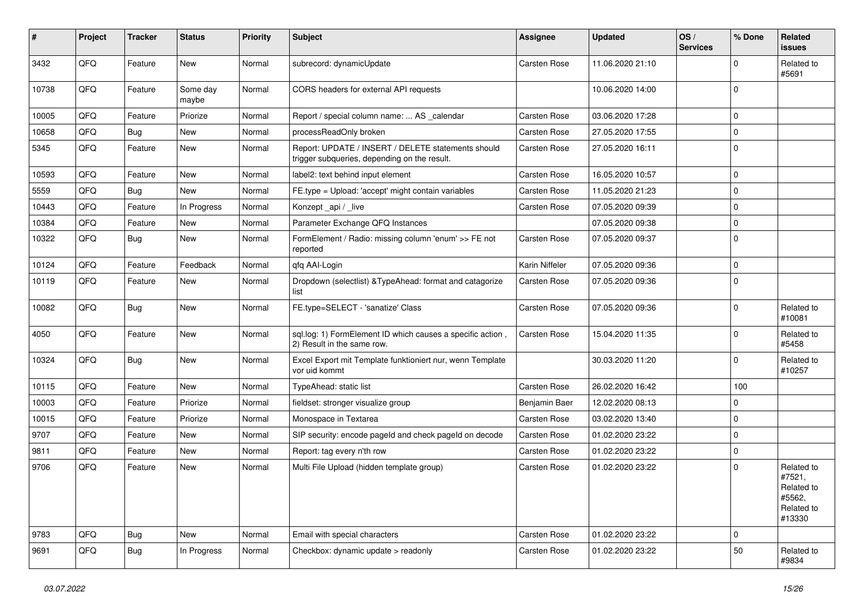| $\vert$ # | Project | <b>Tracker</b> | <b>Status</b>     | <b>Priority</b> | <b>Subject</b>                                                                                     | <b>Assignee</b>     | <b>Updated</b>   | OS/<br><b>Services</b> | % Done      | <b>Related</b><br><b>issues</b>                                      |
|-----------|---------|----------------|-------------------|-----------------|----------------------------------------------------------------------------------------------------|---------------------|------------------|------------------------|-------------|----------------------------------------------------------------------|
| 3432      | QFQ     | Feature        | <b>New</b>        | Normal          | subrecord: dynamicUpdate                                                                           | <b>Carsten Rose</b> | 11.06.2020 21:10 |                        | $\Omega$    | Related to<br>#5691                                                  |
| 10738     | QFQ     | Feature        | Some day<br>maybe | Normal          | CORS headers for external API requests                                                             |                     | 10.06.2020 14:00 |                        | $\mathbf 0$ |                                                                      |
| 10005     | QFQ     | Feature        | Priorize          | Normal          | Report / special column name:  AS calendar                                                         | <b>Carsten Rose</b> | 03.06.2020 17:28 |                        | $\Omega$    |                                                                      |
| 10658     | QFQ     | <b>Bug</b>     | New               | Normal          | processReadOnly broken                                                                             | Carsten Rose        | 27.05.2020 17:55 |                        | 0           |                                                                      |
| 5345      | QFQ     | Feature        | New               | Normal          | Report: UPDATE / INSERT / DELETE statements should<br>trigger subqueries, depending on the result. | Carsten Rose        | 27.05.2020 16:11 |                        | $\Omega$    |                                                                      |
| 10593     | QFQ     | Feature        | <b>New</b>        | Normal          | label2: text behind input element                                                                  | <b>Carsten Rose</b> | 16.05.2020 10:57 |                        | 0           |                                                                      |
| 5559      | QFQ     | <b>Bug</b>     | <b>New</b>        | Normal          | FE.type = Upload: 'accept' might contain variables                                                 | <b>Carsten Rose</b> | 11.05.2020 21:23 |                        | $\mathbf 0$ |                                                                      |
| 10443     | QFQ     | Feature        | In Progress       | Normal          | Konzept_api / _live                                                                                | <b>Carsten Rose</b> | 07.05.2020 09:39 |                        | $\mathbf 0$ |                                                                      |
| 10384     | QFQ     | Feature        | <b>New</b>        | Normal          | Parameter Exchange QFQ Instances                                                                   |                     | 07.05.2020 09:38 |                        | 0           |                                                                      |
| 10322     | QFQ     | <b>Bug</b>     | <b>New</b>        | Normal          | FormElement / Radio: missing column 'enum' >> FE not<br>reported                                   | <b>Carsten Rose</b> | 07.05.2020 09:37 |                        | $\mathbf 0$ |                                                                      |
| 10124     | QFQ     | Feature        | Feedback          | Normal          | qfq AAI-Login                                                                                      | Karin Niffeler      | 07.05.2020 09:36 |                        | 0           |                                                                      |
| 10119     | QFQ     | Feature        | New               | Normal          | Dropdown (selectlist) & Type Ahead: format and catagorize<br>list                                  | Carsten Rose        | 07.05.2020 09:36 |                        | $\mathbf 0$ |                                                                      |
| 10082     | QFQ     | Bug            | <b>New</b>        | Normal          | FE.type=SELECT - 'sanatize' Class                                                                  | Carsten Rose        | 07.05.2020 09:36 |                        | 0           | Related to<br>#10081                                                 |
| 4050      | QFQ     | Feature        | <b>New</b>        | Normal          | sql.log: 1) FormElement ID which causes a specific action,<br>2) Result in the same row.           | Carsten Rose        | 15.04.2020 11:35 |                        | $\Omega$    | Related to<br>#5458                                                  |
| 10324     | QFQ     | <b>Bug</b>     | <b>New</b>        | Normal          | Excel Export mit Template funktioniert nur, wenn Template<br>vor uid kommt                         |                     | 30.03.2020 11:20 |                        | $\Omega$    | Related to<br>#10257                                                 |
| 10115     | QFQ     | Feature        | <b>New</b>        | Normal          | TypeAhead: static list                                                                             | <b>Carsten Rose</b> | 26.02.2020 16:42 |                        | 100         |                                                                      |
| 10003     | QFQ     | Feature        | Priorize          | Normal          | fieldset: stronger visualize group                                                                 | Benjamin Baer       | 12.02.2020 08:13 |                        | 0           |                                                                      |
| 10015     | QFQ     | Feature        | Priorize          | Normal          | Monospace in Textarea                                                                              | Carsten Rose        | 03.02.2020 13:40 |                        | 0           |                                                                      |
| 9707      | QFQ     | Feature        | <b>New</b>        | Normal          | SIP security: encode pageld and check pageld on decode                                             | Carsten Rose        | 01.02.2020 23:22 |                        | $\mathbf 0$ |                                                                      |
| 9811      | QFQ     | Feature        | <b>New</b>        | Normal          | Report: tag every n'th row                                                                         | Carsten Rose        | 01.02.2020 23:22 |                        | $\mathbf 0$ |                                                                      |
| 9706      | QFQ     | Feature        | New               | Normal          | Multi File Upload (hidden template group)                                                          | Carsten Rose        | 01.02.2020 23:22 |                        | $\Omega$    | Related to<br>#7521,<br>Related to<br>#5562,<br>Related to<br>#13330 |
| 9783      | QFQ     | Bug            | <b>New</b>        | Normal          | Email with special characters                                                                      | <b>Carsten Rose</b> | 01.02.2020 23:22 |                        | 0           |                                                                      |
| 9691      | QFQ     | Bug            | In Progress       | Normal          | Checkbox: dynamic update > readonly                                                                | Carsten Rose        | 01.02.2020 23:22 |                        | 50          | Related to<br>#9834                                                  |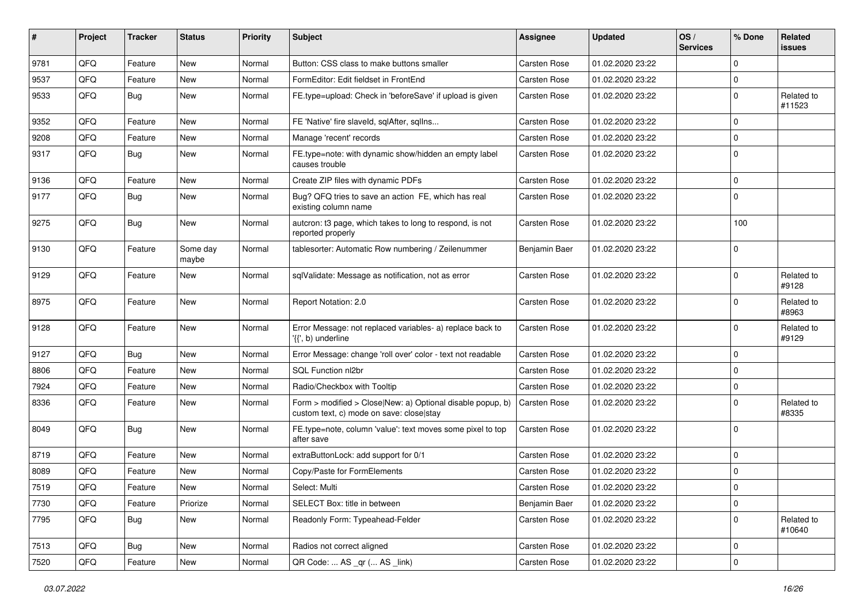| #    | Project | <b>Tracker</b> | <b>Status</b>     | <b>Priority</b> | <b>Subject</b>                                                                                         | Assignee            | <b>Updated</b>   | OS/<br><b>Services</b> | % Done      | Related<br><b>issues</b> |
|------|---------|----------------|-------------------|-----------------|--------------------------------------------------------------------------------------------------------|---------------------|------------------|------------------------|-------------|--------------------------|
| 9781 | QFQ     | Feature        | <b>New</b>        | Normal          | Button: CSS class to make buttons smaller                                                              | <b>Carsten Rose</b> | 01.02.2020 23:22 |                        | $\Omega$    |                          |
| 9537 | QFQ     | Feature        | New               | Normal          | FormEditor: Edit fieldset in FrontEnd                                                                  | <b>Carsten Rose</b> | 01.02.2020 23:22 |                        | $\mathbf 0$ |                          |
| 9533 | QFQ     | Bug            | New               | Normal          | FE.type=upload: Check in 'beforeSave' if upload is given                                               | Carsten Rose        | 01.02.2020 23:22 |                        | $\mathbf 0$ | Related to<br>#11523     |
| 9352 | QFQ     | Feature        | New               | Normal          | FE 'Native' fire slaveld, sqlAfter, sqllns                                                             | <b>Carsten Rose</b> | 01.02.2020 23:22 |                        | $\mathbf 0$ |                          |
| 9208 | QFQ     | Feature        | New               | Normal          | Manage 'recent' records                                                                                | <b>Carsten Rose</b> | 01.02.2020 23:22 |                        | $\mathbf 0$ |                          |
| 9317 | QFQ     | <b>Bug</b>     | New               | Normal          | FE.type=note: with dynamic show/hidden an empty label<br>causes trouble                                | <b>Carsten Rose</b> | 01.02.2020 23:22 |                        | $\mathbf 0$ |                          |
| 9136 | QFQ     | Feature        | <b>New</b>        | Normal          | Create ZIP files with dynamic PDFs                                                                     | <b>Carsten Rose</b> | 01.02.2020 23:22 |                        | $\mathbf 0$ |                          |
| 9177 | QFQ     | Bug            | New               | Normal          | Bug? QFQ tries to save an action FE, which has real<br>existing column name                            | <b>Carsten Rose</b> | 01.02.2020 23:22 |                        | $\Omega$    |                          |
| 9275 | QFQ     | Bug            | <b>New</b>        | Normal          | autcron: t3 page, which takes to long to respond, is not<br>reported properly                          | Carsten Rose        | 01.02.2020 23:22 |                        | 100         |                          |
| 9130 | QFQ     | Feature        | Some day<br>maybe | Normal          | tablesorter: Automatic Row numbering / Zeilenummer                                                     | Benjamin Baer       | 01.02.2020 23:22 |                        | $\Omega$    |                          |
| 9129 | QFQ     | Feature        | New               | Normal          | sqlValidate: Message as notification, not as error                                                     | <b>Carsten Rose</b> | 01.02.2020 23:22 |                        | $\mathbf 0$ | Related to<br>#9128      |
| 8975 | QFQ     | Feature        | <b>New</b>        | Normal          | Report Notation: 2.0                                                                                   | <b>Carsten Rose</b> | 01.02.2020 23:22 |                        | $\mathbf 0$ | Related to<br>#8963      |
| 9128 | QFQ     | Feature        | <b>New</b>        | Normal          | Error Message: not replaced variables- a) replace back to<br>'{{', b) underline                        | Carsten Rose        | 01.02.2020 23:22 |                        | $\mathbf 0$ | Related to<br>#9129      |
| 9127 | QFQ     | Bug            | <b>New</b>        | Normal          | Error Message: change 'roll over' color - text not readable                                            | <b>Carsten Rose</b> | 01.02.2020 23:22 |                        | $\mathbf 0$ |                          |
| 8806 | QFQ     | Feature        | New               | Normal          | SQL Function nl2br                                                                                     | <b>Carsten Rose</b> | 01.02.2020 23:22 |                        | $\Omega$    |                          |
| 7924 | QFQ     | Feature        | New               | Normal          | Radio/Checkbox with Tooltip                                                                            | <b>Carsten Rose</b> | 01.02.2020 23:22 |                        | $\mathbf 0$ |                          |
| 8336 | QFQ     | Feature        | New               | Normal          | Form > modified > Close New: a) Optional disable popup, b)<br>custom text, c) mode on save: close stay | <b>Carsten Rose</b> | 01.02.2020 23:22 |                        | $\Omega$    | Related to<br>#8335      |
| 8049 | QFQ     | <b>Bug</b>     | New               | Normal          | FE.type=note, column 'value': text moves some pixel to top<br>after save                               | <b>Carsten Rose</b> | 01.02.2020 23:22 |                        | $\Omega$    |                          |
| 8719 | QFQ     | Feature        | New               | Normal          | extraButtonLock: add support for 0/1                                                                   | <b>Carsten Rose</b> | 01.02.2020 23:22 |                        | $\mathbf 0$ |                          |
| 8089 | QFQ     | Feature        | New               | Normal          | Copy/Paste for FormElements                                                                            | <b>Carsten Rose</b> | 01.02.2020 23:22 |                        | $\mathbf 0$ |                          |
| 7519 | QFQ     | Feature        | New               | Normal          | Select: Multi                                                                                          | Carsten Rose        | 01.02.2020 23:22 |                        | 0           |                          |
| 7730 | QFQ     | Feature        | Priorize          | Normal          | SELECT Box: title in between                                                                           | Benjamin Baer       | 01.02.2020 23:22 |                        | $\mathbf 0$ |                          |
| 7795 | QFQ     | Bug            | New               | Normal          | Readonly Form: Typeahead-Felder                                                                        | Carsten Rose        | 01.02.2020 23:22 |                        | $\mathbf 0$ | Related to<br>#10640     |
| 7513 | QFQ     | <b>Bug</b>     | New               | Normal          | Radios not correct aligned                                                                             | Carsten Rose        | 01.02.2020 23:22 |                        | $\mathbf 0$ |                          |
| 7520 | QFQ     | Feature        | New               | Normal          | QR Code:  AS _qr ( AS _link)                                                                           | Carsten Rose        | 01.02.2020 23:22 |                        | $\mathsf 0$ |                          |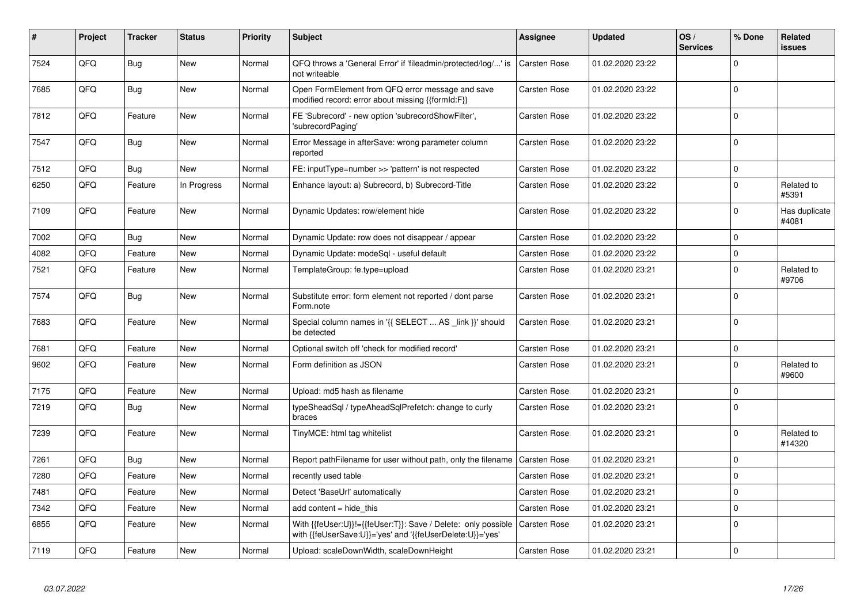| #    | Project | <b>Tracker</b> | <b>Status</b> | <b>Priority</b> | Subject                                                                                                                    | Assignee            | <b>Updated</b>   | OS/<br><b>Services</b> | % Done      | Related<br><b>issues</b> |
|------|---------|----------------|---------------|-----------------|----------------------------------------------------------------------------------------------------------------------------|---------------------|------------------|------------------------|-------------|--------------------------|
| 7524 | QFQ     | Bug            | New           | Normal          | QFQ throws a 'General Error' if 'fileadmin/protected/log/' is<br>not writeable                                             | <b>Carsten Rose</b> | 01.02.2020 23:22 |                        | $\Omega$    |                          |
| 7685 | QFQ     | <b>Bug</b>     | <b>New</b>    | Normal          | Open FormElement from QFQ error message and save<br>modified record: error about missing {{formId:F}}                      | Carsten Rose        | 01.02.2020 23:22 |                        | $\Omega$    |                          |
| 7812 | QFQ     | Feature        | <b>New</b>    | Normal          | FE 'Subrecord' - new option 'subrecordShowFilter',<br>'subrecordPaging'                                                    | <b>Carsten Rose</b> | 01.02.2020 23:22 |                        | $\mathbf 0$ |                          |
| 7547 | QFQ     | Bug            | <b>New</b>    | Normal          | Error Message in afterSave: wrong parameter column<br>reported                                                             | Carsten Rose        | 01.02.2020 23:22 |                        | $\mathbf 0$ |                          |
| 7512 | QFQ     | <b>Bug</b>     | <b>New</b>    | Normal          | FE: inputType=number >> 'pattern' is not respected                                                                         | <b>Carsten Rose</b> | 01.02.2020 23:22 |                        | $\mathbf 0$ |                          |
| 6250 | QFQ     | Feature        | In Progress   | Normal          | Enhance layout: a) Subrecord, b) Subrecord-Title                                                                           | <b>Carsten Rose</b> | 01.02.2020 23:22 |                        | $\Omega$    | Related to<br>#5391      |
| 7109 | QFQ     | Feature        | <b>New</b>    | Normal          | Dynamic Updates: row/element hide                                                                                          | <b>Carsten Rose</b> | 01.02.2020 23:22 |                        | $\mathbf 0$ | Has duplicate<br>#4081   |
| 7002 | QFQ     | Bug            | <b>New</b>    | Normal          | Dynamic Update: row does not disappear / appear                                                                            | <b>Carsten Rose</b> | 01.02.2020 23:22 |                        | $\mathbf 0$ |                          |
| 4082 | QFQ     | Feature        | <b>New</b>    | Normal          | Dynamic Update: modeSql - useful default                                                                                   | <b>Carsten Rose</b> | 01.02.2020 23:22 |                        | $\Omega$    |                          |
| 7521 | QFQ     | Feature        | <b>New</b>    | Normal          | TemplateGroup: fe.type=upload                                                                                              | <b>Carsten Rose</b> | 01.02.2020 23:21 |                        | $\Omega$    | Related to<br>#9706      |
| 7574 | QFQ     | Bug            | <b>New</b>    | Normal          | Substitute error: form element not reported / dont parse<br>Form.note                                                      | <b>Carsten Rose</b> | 01.02.2020 23:21 |                        | $\mathbf 0$ |                          |
| 7683 | QFQ     | Feature        | New           | Normal          | Special column names in '{{ SELECT  AS link }}' should<br>be detected                                                      | <b>Carsten Rose</b> | 01.02.2020 23:21 |                        | $\mathbf 0$ |                          |
| 7681 | QFQ     | Feature        | <b>New</b>    | Normal          | Optional switch off 'check for modified record'                                                                            | Carsten Rose        | 01.02.2020 23:21 |                        | $\mathbf 0$ |                          |
| 9602 | QFQ     | Feature        | <b>New</b>    | Normal          | Form definition as JSON                                                                                                    | Carsten Rose        | 01.02.2020 23:21 |                        | $\mathbf 0$ | Related to<br>#9600      |
| 7175 | QFQ     | Feature        | <b>New</b>    | Normal          | Upload: md5 hash as filename                                                                                               | Carsten Rose        | 01.02.2020 23:21 |                        | $\Omega$    |                          |
| 7219 | QFQ     | Bug            | New           | Normal          | typeSheadSql / typeAheadSqlPrefetch: change to curly<br>braces                                                             | <b>Carsten Rose</b> | 01.02.2020 23:21 |                        | $\mathbf 0$ |                          |
| 7239 | QFQ     | Feature        | <b>New</b>    | Normal          | TinyMCE: html tag whitelist                                                                                                | Carsten Rose        | 01.02.2020 23:21 |                        | $\Omega$    | Related to<br>#14320     |
| 7261 | QFQ     | Bug            | New           | Normal          | Report pathFilename for user without path, only the filename                                                               | <b>Carsten Rose</b> | 01.02.2020 23:21 |                        | $\mathbf 0$ |                          |
| 7280 | QFQ     | Feature        | <b>New</b>    | Normal          | recently used table                                                                                                        | Carsten Rose        | 01.02.2020 23:21 |                        | $\Omega$    |                          |
| 7481 | QFQ     | Feature        | New           | Normal          | Detect 'BaseUrl' automatically                                                                                             | Carsten Rose        | 01.02.2020 23:21 |                        | $\mathbf 0$ |                          |
| 7342 | QFQ     | Feature        | <b>New</b>    | Normal          | add content $=$ hide this                                                                                                  | Carsten Rose        | 01.02.2020 23:21 |                        | $\mathbf 0$ |                          |
| 6855 | QFQ     | Feature        | <b>New</b>    | Normal          | With {{feUser:U}}!={{feUser:T}}: Save / Delete: only possible<br>with {{feUserSave:U}}='yes' and '{{feUserDelete:U}}='yes' | <b>Carsten Rose</b> | 01.02.2020 23:21 |                        | $\mathbf 0$ |                          |
| 7119 | QFQ     | Feature        | New           | Normal          | Upload: scaleDownWidth, scaleDownHeight                                                                                    | <b>Carsten Rose</b> | 01.02.2020 23:21 |                        | $\mathbf 0$ |                          |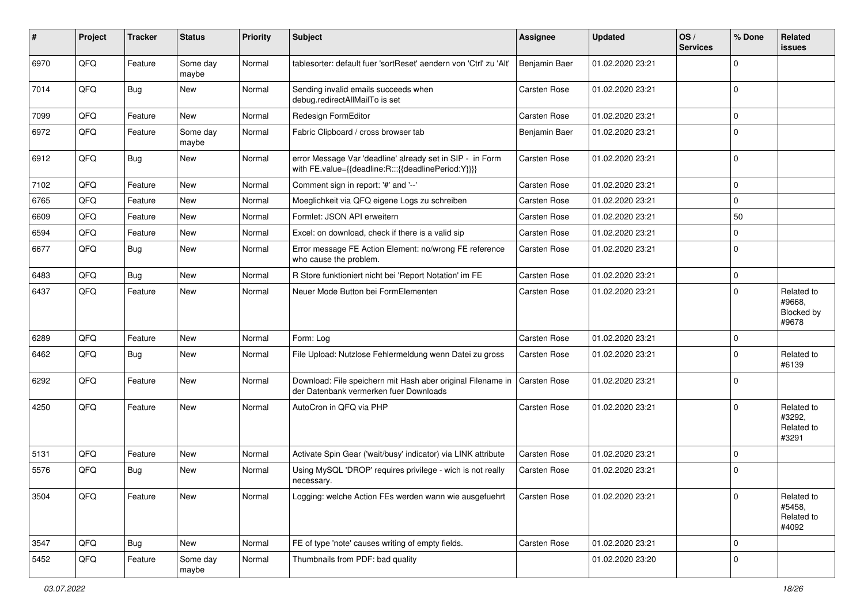| ∦    | Project | <b>Tracker</b> | <b>Status</b>     | <b>Priority</b> | <b>Subject</b>                                                                                                   | <b>Assignee</b>     | <b>Updated</b>   | OS/<br><b>Services</b> | % Done              | Related<br><b>issues</b>                    |
|------|---------|----------------|-------------------|-----------------|------------------------------------------------------------------------------------------------------------------|---------------------|------------------|------------------------|---------------------|---------------------------------------------|
| 6970 | QFQ     | Feature        | Some day<br>maybe | Normal          | tablesorter: default fuer 'sortReset' aendern von 'Ctrl' zu 'Alt'                                                | Benjamin Baer       | 01.02.2020 23:21 |                        | $\mathbf 0$         |                                             |
| 7014 | QFQ     | Bug            | <b>New</b>        | Normal          | Sending invalid emails succeeds when<br>debug.redirectAllMailTo is set                                           | <b>Carsten Rose</b> | 01.02.2020 23:21 |                        | $\mathbf 0$         |                                             |
| 7099 | QFQ     | Feature        | <b>New</b>        | Normal          | Redesign FormEditor                                                                                              | Carsten Rose        | 01.02.2020 23:21 |                        | $\mathbf 0$         |                                             |
| 6972 | QFQ     | Feature        | Some day<br>maybe | Normal          | Fabric Clipboard / cross browser tab                                                                             | Benjamin Baer       | 01.02.2020 23:21 |                        | $\mathbf 0$         |                                             |
| 6912 | QFQ     | Bug            | <b>New</b>        | Normal          | error Message Var 'deadline' already set in SIP - in Form<br>with FE.value={{deadline:R:::{{deadlinePeriod:Y}}}} | Carsten Rose        | 01.02.2020 23:21 |                        | $\mathbf 0$         |                                             |
| 7102 | QFQ     | Feature        | New               | Normal          | Comment sign in report: '#' and '--'                                                                             | <b>Carsten Rose</b> | 01.02.2020 23:21 |                        | $\mathbf 0$         |                                             |
| 6765 | QFQ     | Feature        | New               | Normal          | Moeglichkeit via QFQ eigene Logs zu schreiben                                                                    | <b>Carsten Rose</b> | 01.02.2020 23:21 |                        | 0                   |                                             |
| 6609 | QFQ     | Feature        | <b>New</b>        | Normal          | Formlet: JSON API erweitern                                                                                      | <b>Carsten Rose</b> | 01.02.2020 23:21 |                        | 50                  |                                             |
| 6594 | QFQ     | Feature        | New               | Normal          | Excel: on download, check if there is a valid sip                                                                | <b>Carsten Rose</b> | 01.02.2020 23:21 |                        | $\mathbf 0$         |                                             |
| 6677 | QFQ     | Bug            | <b>New</b>        | Normal          | Error message FE Action Element: no/wrong FE reference<br>who cause the problem.                                 | <b>Carsten Rose</b> | 01.02.2020 23:21 |                        | $\mathbf 0$         |                                             |
| 6483 | QFQ     | Bug            | New               | Normal          | R Store funktioniert nicht bei 'Report Notation' im FE                                                           | Carsten Rose        | 01.02.2020 23:21 |                        | $\mathbf 0$         |                                             |
| 6437 | QFQ     | Feature        | <b>New</b>        | Normal          | Neuer Mode Button bei FormElementen                                                                              | Carsten Rose        | 01.02.2020 23:21 |                        | $\Omega$            | Related to<br>#9668,<br>Blocked by<br>#9678 |
| 6289 | QFQ     | Feature        | <b>New</b>        | Normal          | Form: Log                                                                                                        | <b>Carsten Rose</b> | 01.02.2020 23:21 |                        | 0                   |                                             |
| 6462 | QFQ     | Bug            | <b>New</b>        | Normal          | File Upload: Nutzlose Fehlermeldung wenn Datei zu gross                                                          | Carsten Rose        | 01.02.2020 23:21 |                        | $\mathbf 0$         | Related to<br>#6139                         |
| 6292 | QFQ     | Feature        | <b>New</b>        | Normal          | Download: File speichern mit Hash aber original Filename in<br>der Datenbank vermerken fuer Downloads            | Carsten Rose        | 01.02.2020 23:21 |                        | $\mathbf 0$         |                                             |
| 4250 | QFQ     | Feature        | <b>New</b>        | Normal          | AutoCron in QFQ via PHP                                                                                          | <b>Carsten Rose</b> | 01.02.2020 23:21 |                        | $\mathbf 0$         | Related to<br>#3292,<br>Related to<br>#3291 |
| 5131 | QFQ     | Feature        | <b>New</b>        | Normal          | Activate Spin Gear ('wait/busy' indicator) via LINK attribute                                                    | <b>Carsten Rose</b> | 01.02.2020 23:21 |                        | 0                   |                                             |
| 5576 | QFQ     | Bug            | <b>New</b>        | Normal          | Using MySQL 'DROP' requires privilege - wich is not really<br>necessary.                                         | <b>Carsten Rose</b> | 01.02.2020 23:21 |                        | $\mathbf 0$         |                                             |
| 3504 | QFO     | Feature        | New               | Normal          | Logging: welche Action FEs werden wann wie ausgefuehrt                                                           | Carsten Rose        | 01.02.2020 23:21 |                        | $\mathbf 0$         | Related to<br>#5458,<br>Related to<br>#4092 |
| 3547 | QFQ     | <b>Bug</b>     | New               | Normal          | FE of type 'note' causes writing of empty fields.                                                                | Carsten Rose        | 01.02.2020 23:21 |                        | $\mathbf 0$         |                                             |
| 5452 | QFQ     | Feature        | Some day<br>maybe | Normal          | Thumbnails from PDF: bad quality                                                                                 |                     | 01.02.2020 23:20 |                        | $\mathsf{O}\xspace$ |                                             |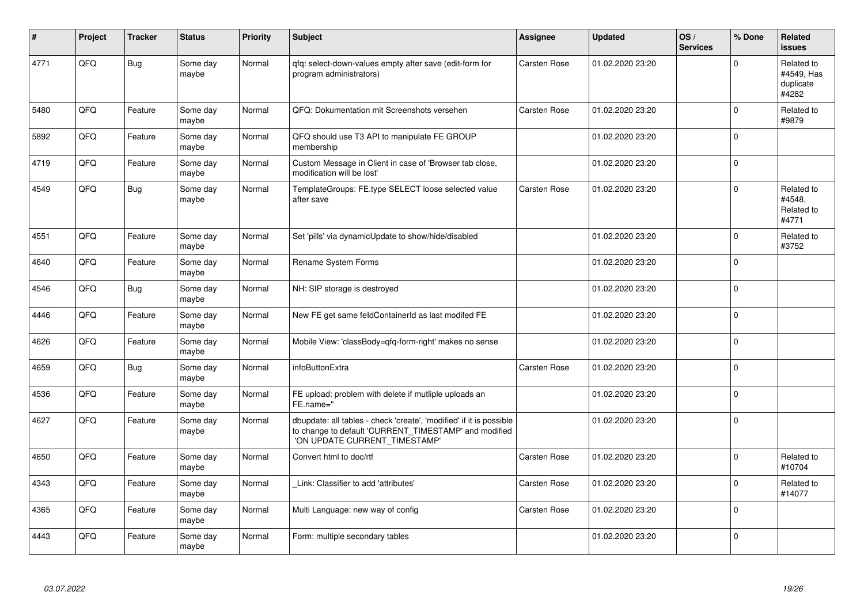| ∦    | Project | <b>Tracker</b> | <b>Status</b>     | Priority | <b>Subject</b>                                                                                                                                                | <b>Assignee</b>     | <b>Updated</b>   | OS/<br><b>Services</b> | % Done       | <b>Related</b><br><b>issues</b>                |
|------|---------|----------------|-------------------|----------|---------------------------------------------------------------------------------------------------------------------------------------------------------------|---------------------|------------------|------------------------|--------------|------------------------------------------------|
| 4771 | QFQ     | <b>Bug</b>     | Some day<br>maybe | Normal   | gfg: select-down-values empty after save (edit-form for<br>program administrators)                                                                            | <b>Carsten Rose</b> | 01.02.2020 23:20 |                        | $\Omega$     | Related to<br>#4549. Has<br>duplicate<br>#4282 |
| 5480 | QFQ     | Feature        | Some day<br>maybe | Normal   | QFQ: Dokumentation mit Screenshots versehen                                                                                                                   | <b>Carsten Rose</b> | 01.02.2020 23:20 |                        | $\Omega$     | Related to<br>#9879                            |
| 5892 | QFQ     | Feature        | Some day<br>maybe | Normal   | QFQ should use T3 API to manipulate FE GROUP<br>membership                                                                                                    |                     | 01.02.2020 23:20 |                        | $\mathbf 0$  |                                                |
| 4719 | QFQ     | Feature        | Some day<br>maybe | Normal   | Custom Message in Client in case of 'Browser tab close,<br>modification will be lost'                                                                         |                     | 01.02.2020 23:20 |                        | $\Omega$     |                                                |
| 4549 | QFQ     | Bug            | Some day<br>maybe | Normal   | TemplateGroups: FE.type SELECT loose selected value<br>after save                                                                                             | <b>Carsten Rose</b> | 01.02.2020 23:20 |                        | $\mathbf{0}$ | Related to<br>#4548.<br>Related to<br>#4771    |
| 4551 | QFQ     | Feature        | Some day<br>maybe | Normal   | Set 'pills' via dynamicUpdate to show/hide/disabled                                                                                                           |                     | 01.02.2020 23:20 |                        | $\Omega$     | Related to<br>#3752                            |
| 4640 | QFQ     | Feature        | Some day<br>maybe | Normal   | Rename System Forms                                                                                                                                           |                     | 01.02.2020 23:20 |                        | $\Omega$     |                                                |
| 4546 | QFQ     | Bug            | Some day<br>maybe | Normal   | NH: SIP storage is destroyed                                                                                                                                  |                     | 01.02.2020 23:20 |                        | $\Omega$     |                                                |
| 4446 | QFQ     | Feature        | Some day<br>maybe | Normal   | New FE get same feldContainerId as last modifed FE                                                                                                            |                     | 01.02.2020 23:20 |                        | $\Omega$     |                                                |
| 4626 | QFQ     | Feature        | Some day<br>maybe | Normal   | Mobile View: 'classBody=qfq-form-right' makes no sense                                                                                                        |                     | 01.02.2020 23:20 |                        | $\Omega$     |                                                |
| 4659 | QFQ     | <b>Bug</b>     | Some day<br>maybe | Normal   | infoButtonExtra                                                                                                                                               | Carsten Rose        | 01.02.2020 23:20 |                        | $\Omega$     |                                                |
| 4536 | QFQ     | Feature        | Some day<br>maybe | Normal   | FE upload: problem with delete if mutliple uploads an<br>FE.name="                                                                                            |                     | 01.02.2020 23:20 |                        | $\Omega$     |                                                |
| 4627 | QFQ     | Feature        | Some day<br>maybe | Normal   | dbupdate: all tables - check 'create', 'modified' if it is possible<br>to change to default 'CURRENT_TIMESTAMP' and modified<br>'ON UPDATE CURRENT TIMESTAMP' |                     | 01.02.2020 23:20 |                        | $\mathbf 0$  |                                                |
| 4650 | QFQ     | Feature        | Some day<br>maybe | Normal   | Convert html to doc/rtf                                                                                                                                       | Carsten Rose        | 01.02.2020 23:20 |                        | $\Omega$     | Related to<br>#10704                           |
| 4343 | QFQ     | Feature        | Some day<br>maybe | Normal   | Link: Classifier to add 'attributes'                                                                                                                          | Carsten Rose        | 01.02.2020 23:20 |                        | $\Omega$     | Related to<br>#14077                           |
| 4365 | QFQ     | Feature        | Some day<br>maybe | Normal   | Multi Language: new way of config                                                                                                                             | Carsten Rose        | 01.02.2020 23:20 |                        | $\mathbf{0}$ |                                                |
| 4443 | QFQ     | Feature        | Some day<br>maybe | Normal   | Form: multiple secondary tables                                                                                                                               |                     | 01.02.2020 23:20 |                        | $\Omega$     |                                                |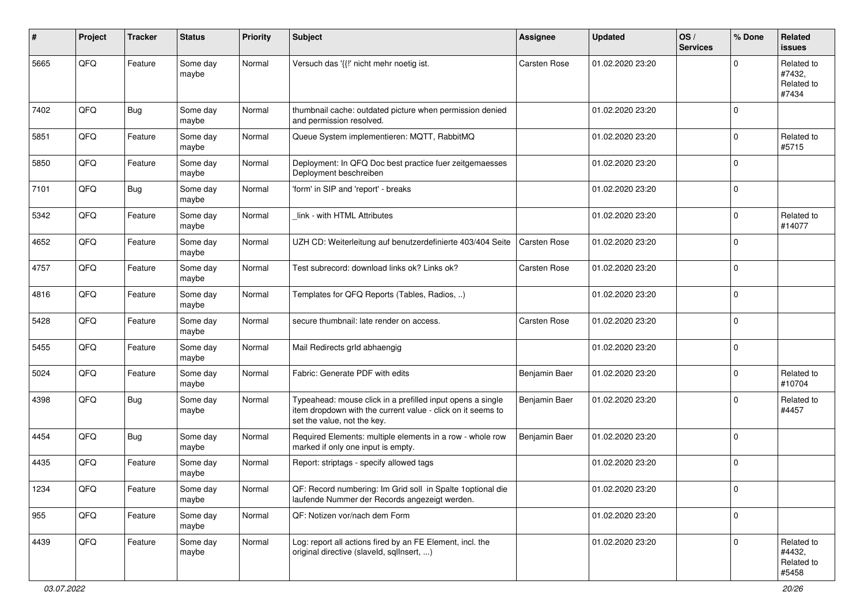| #    | Project        | <b>Tracker</b> | <b>Status</b>     | <b>Priority</b> | <b>Subject</b>                                                                                                                                           | <b>Assignee</b>     | <b>Updated</b>   | OS/<br><b>Services</b> | % Done      | Related<br><b>issues</b>                    |
|------|----------------|----------------|-------------------|-----------------|----------------------------------------------------------------------------------------------------------------------------------------------------------|---------------------|------------------|------------------------|-------------|---------------------------------------------|
| 5665 | QFQ            | Feature        | Some day<br>maybe | Normal          | Versuch das '{{!' nicht mehr noetig ist.                                                                                                                 | Carsten Rose        | 01.02.2020 23:20 |                        | $\Omega$    | Related to<br>#7432,<br>Related to<br>#7434 |
| 7402 | QFQ            | Bug            | Some day<br>maybe | Normal          | thumbnail cache: outdated picture when permission denied<br>and permission resolved.                                                                     |                     | 01.02.2020 23:20 |                        | $\Omega$    |                                             |
| 5851 | QFQ            | Feature        | Some day<br>maybe | Normal          | Queue System implementieren: MQTT, RabbitMQ                                                                                                              |                     | 01.02.2020 23:20 |                        | $\mathbf 0$ | Related to<br>#5715                         |
| 5850 | QFQ            | Feature        | Some day<br>maybe | Normal          | Deployment: In QFQ Doc best practice fuer zeitgemaesses<br>Deployment beschreiben                                                                        |                     | 01.02.2020 23:20 |                        | $\mathbf 0$ |                                             |
| 7101 | QFQ            | Bug            | Some day<br>maybe | Normal          | 'form' in SIP and 'report' - breaks                                                                                                                      |                     | 01.02.2020 23:20 |                        | $\mathbf 0$ |                                             |
| 5342 | QFQ            | Feature        | Some day<br>maybe | Normal          | link - with HTML Attributes                                                                                                                              |                     | 01.02.2020 23:20 |                        | $\mathbf 0$ | Related to<br>#14077                        |
| 4652 | QFQ            | Feature        | Some day<br>maybe | Normal          | UZH CD: Weiterleitung auf benutzerdefinierte 403/404 Seite                                                                                               | <b>Carsten Rose</b> | 01.02.2020 23:20 |                        | $\mathbf 0$ |                                             |
| 4757 | QFQ            | Feature        | Some day<br>maybe | Normal          | Test subrecord: download links ok? Links ok?                                                                                                             | Carsten Rose        | 01.02.2020 23:20 |                        | $\mathbf 0$ |                                             |
| 4816 | QFQ            | Feature        | Some day<br>maybe | Normal          | Templates for QFQ Reports (Tables, Radios, )                                                                                                             |                     | 01.02.2020 23:20 |                        | $\mathbf 0$ |                                             |
| 5428 | QFQ            | Feature        | Some day<br>maybe | Normal          | secure thumbnail: late render on access.                                                                                                                 | Carsten Rose        | 01.02.2020 23:20 |                        | $\mathbf 0$ |                                             |
| 5455 | QFQ            | Feature        | Some day<br>maybe | Normal          | Mail Redirects grld abhaengig                                                                                                                            |                     | 01.02.2020 23:20 |                        | $\mathbf 0$ |                                             |
| 5024 | QFQ            | Feature        | Some day<br>maybe | Normal          | Fabric: Generate PDF with edits                                                                                                                          | Benjamin Baer       | 01.02.2020 23:20 |                        | $\mathbf 0$ | Related to<br>#10704                        |
| 4398 | QFQ            | Bug            | Some day<br>maybe | Normal          | Typeahead: mouse click in a prefilled input opens a single<br>item dropdown with the current value - click on it seems to<br>set the value, not the key. | Benjamin Baer       | 01.02.2020 23:20 |                        | $\Omega$    | Related to<br>#4457                         |
| 4454 | QFQ            | Bug            | Some day<br>maybe | Normal          | Required Elements: multiple elements in a row - whole row<br>marked if only one input is empty.                                                          | Benjamin Baer       | 01.02.2020 23:20 |                        | $\Omega$    |                                             |
| 4435 | QFQ            | Feature        | Some day<br>maybe | Normal          | Report: striptags - specify allowed tags                                                                                                                 |                     | 01.02.2020 23:20 |                        | $\mathbf 0$ |                                             |
| 1234 | $\mathsf{QFQ}$ | Feature        | Some day<br>maybe | Normal          | QF: Record numbering: Im Grid soll in Spalte 1 optional die<br>laufende Nummer der Records angezeigt werden.                                             |                     | 01.02.2020 23:20 |                        | 0           |                                             |
| 955  | QFQ            | Feature        | Some day<br>maybe | Normal          | QF: Notizen vor/nach dem Form                                                                                                                            |                     | 01.02.2020 23:20 |                        | 0           |                                             |
| 4439 | QFQ            | Feature        | Some day<br>maybe | Normal          | Log: report all actions fired by an FE Element, incl. the<br>original directive (slaveld, sqllnsert, )                                                   |                     | 01.02.2020 23:20 |                        | $\mathbf 0$ | Related to<br>#4432,<br>Related to<br>#5458 |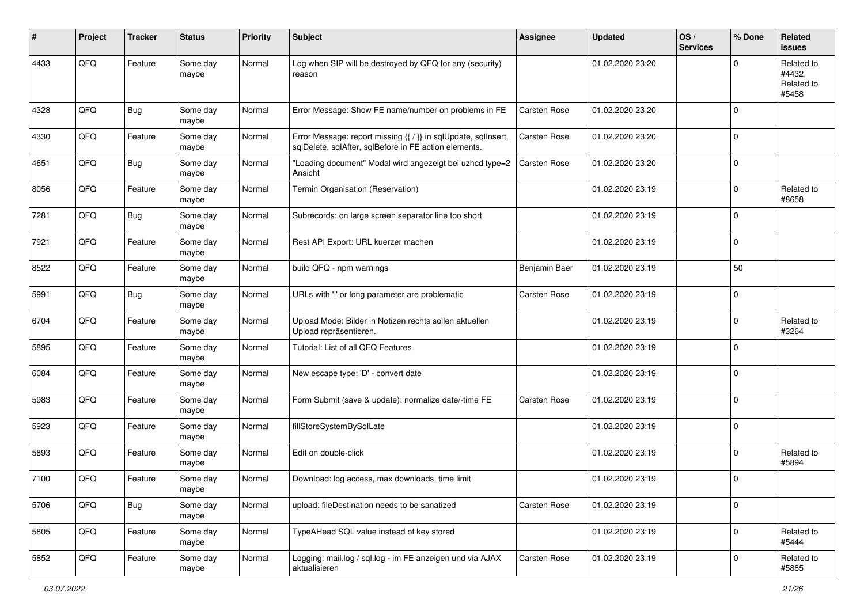| #    | Project | <b>Tracker</b> | <b>Status</b>     | <b>Priority</b> | <b>Subject</b>                                                                                                          | <b>Assignee</b>     | <b>Updated</b>   | OS/<br><b>Services</b> | % Done      | Related<br><b>issues</b>                    |
|------|---------|----------------|-------------------|-----------------|-------------------------------------------------------------------------------------------------------------------------|---------------------|------------------|------------------------|-------------|---------------------------------------------|
| 4433 | QFQ     | Feature        | Some day<br>maybe | Normal          | Log when SIP will be destroyed by QFQ for any (security)<br>reason                                                      |                     | 01.02.2020 23:20 |                        | $\Omega$    | Related to<br>#4432.<br>Related to<br>#5458 |
| 4328 | QFQ     | <b>Bug</b>     | Some day<br>maybe | Normal          | Error Message: Show FE name/number on problems in FE                                                                    | <b>Carsten Rose</b> | 01.02.2020 23:20 |                        | $\Omega$    |                                             |
| 4330 | QFQ     | Feature        | Some day<br>maybe | Normal          | Error Message: report missing {{ / }} in sqlUpdate, sqlInsert,<br>sqlDelete, sqlAfter, sqlBefore in FE action elements. | <b>Carsten Rose</b> | 01.02.2020 23:20 |                        | $\mathbf 0$ |                                             |
| 4651 | QFQ     | Bug            | Some day<br>maybe | Normal          | "Loading document" Modal wird angezeigt bei uzhcd type=2<br>Ansicht                                                     | <b>Carsten Rose</b> | 01.02.2020 23:20 |                        | $\mathbf 0$ |                                             |
| 8056 | QFQ     | Feature        | Some day<br>maybe | Normal          | Termin Organisation (Reservation)                                                                                       |                     | 01.02.2020 23:19 |                        | $\mathbf 0$ | Related to<br>#8658                         |
| 7281 | QFQ     | <b>Bug</b>     | Some day<br>maybe | Normal          | Subrecords: on large screen separator line too short                                                                    |                     | 01.02.2020 23:19 |                        | $\mathbf 0$ |                                             |
| 7921 | QFQ     | Feature        | Some day<br>maybe | Normal          | Rest API Export: URL kuerzer machen                                                                                     |                     | 01.02.2020 23:19 |                        | $\mathbf 0$ |                                             |
| 8522 | QFQ     | Feature        | Some day<br>maybe | Normal          | build QFQ - npm warnings                                                                                                | Benjamin Baer       | 01.02.2020 23:19 |                        | 50          |                                             |
| 5991 | QFQ     | <b>Bug</b>     | Some day<br>maybe | Normal          | URLs with ' ' or long parameter are problematic                                                                         | <b>Carsten Rose</b> | 01.02.2020 23:19 |                        | $\mathbf 0$ |                                             |
| 6704 | QFQ     | Feature        | Some day<br>maybe | Normal          | Upload Mode: Bilder in Notizen rechts sollen aktuellen<br>Upload repräsentieren.                                        |                     | 01.02.2020 23:19 |                        | $\mathbf 0$ | Related to<br>#3264                         |
| 5895 | QFQ     | Feature        | Some day<br>maybe | Normal          | Tutorial: List of all QFQ Features                                                                                      |                     | 01.02.2020 23:19 |                        | $\mathbf 0$ |                                             |
| 6084 | QFQ     | Feature        | Some day<br>maybe | Normal          | New escape type: 'D' - convert date                                                                                     |                     | 01.02.2020 23:19 |                        | $\mathbf 0$ |                                             |
| 5983 | QFQ     | Feature        | Some day<br>maybe | Normal          | Form Submit (save & update): normalize date/-time FE                                                                    | Carsten Rose        | 01.02.2020 23:19 |                        | 0           |                                             |
| 5923 | QFQ     | Feature        | Some day<br>maybe | Normal          | fillStoreSystemBySqlLate                                                                                                |                     | 01.02.2020 23:19 |                        | $\mathbf 0$ |                                             |
| 5893 | QFQ     | Feature        | Some day<br>maybe | Normal          | Edit on double-click                                                                                                    |                     | 01.02.2020 23:19 |                        | $\mathbf 0$ | Related to<br>#5894                         |
| 7100 | QFQ     | Feature        | Some day<br>maybe | Normal          | Download: log access, max downloads, time limit                                                                         |                     | 01.02.2020 23:19 |                        | $\Omega$    |                                             |
| 5706 | QFQ     | Bug            | Some day<br>maybe | Normal          | upload: fileDestination needs to be sanatized                                                                           | Carsten Rose        | 01.02.2020 23:19 |                        | 0           |                                             |
| 5805 | QFQ     | Feature        | Some day<br>maybe | Normal          | TypeAHead SQL value instead of key stored                                                                               |                     | 01.02.2020 23:19 |                        | 0           | Related to<br>#5444                         |
| 5852 | QFQ     | Feature        | Some day<br>maybe | Normal          | Logging: mail.log / sql.log - im FE anzeigen und via AJAX<br>aktualisieren                                              | Carsten Rose        | 01.02.2020 23:19 |                        | 0           | Related to<br>#5885                         |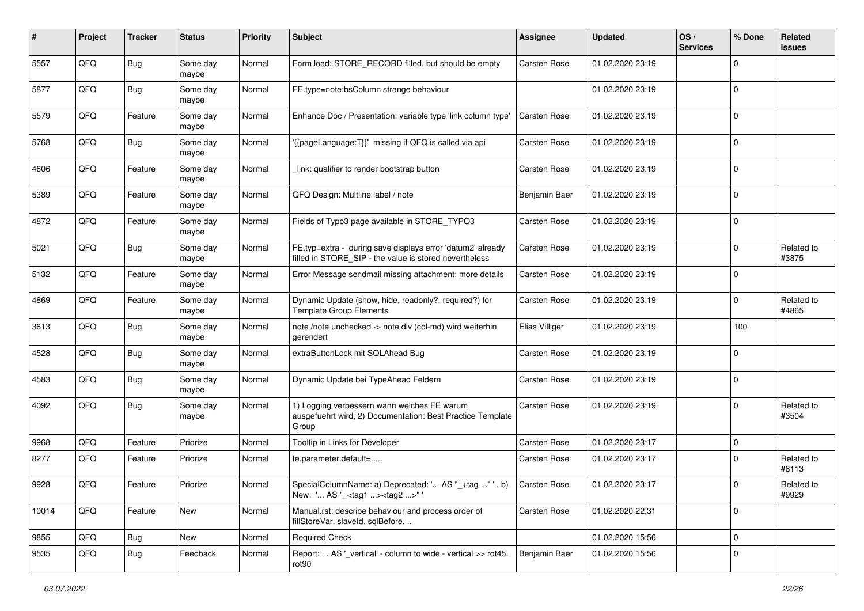| #     | Project | <b>Tracker</b> | <b>Status</b>     | <b>Priority</b> | <b>Subject</b>                                                                                                       | Assignee            | <b>Updated</b>   | OS/<br><b>Services</b> | % Done      | Related<br><b>issues</b> |
|-------|---------|----------------|-------------------|-----------------|----------------------------------------------------------------------------------------------------------------------|---------------------|------------------|------------------------|-------------|--------------------------|
| 5557  | QFQ     | Bug            | Some day<br>maybe | Normal          | Form load: STORE_RECORD filled, but should be empty                                                                  | Carsten Rose        | 01.02.2020 23:19 |                        | $\Omega$    |                          |
| 5877  | QFQ     | Bug            | Some day<br>maybe | Normal          | FE.type=note:bsColumn strange behaviour                                                                              |                     | 01.02.2020 23:19 |                        | $\mathbf 0$ |                          |
| 5579  | QFQ     | Feature        | Some day<br>maybe | Normal          | Enhance Doc / Presentation: variable type 'link column type'                                                         | Carsten Rose        | 01.02.2020 23:19 |                        | $\mathbf 0$ |                          |
| 5768  | QFQ     | Bug            | Some day<br>maybe | Normal          | {{pageLanguage:T}}' missing if QFQ is called via api                                                                 | <b>Carsten Rose</b> | 01.02.2020 23:19 |                        | $\mathbf 0$ |                          |
| 4606  | QFQ     | Feature        | Some day<br>maybe | Normal          | link: qualifier to render bootstrap button                                                                           | <b>Carsten Rose</b> | 01.02.2020 23:19 |                        | $\mathbf 0$ |                          |
| 5389  | QFQ     | Feature        | Some day<br>maybe | Normal          | QFQ Design: Multline label / note                                                                                    | Benjamin Baer       | 01.02.2020 23:19 |                        | $\Omega$    |                          |
| 4872  | QFQ     | Feature        | Some day<br>maybe | Normal          | Fields of Typo3 page available in STORE_TYPO3                                                                        | <b>Carsten Rose</b> | 01.02.2020 23:19 |                        | $\mathbf 0$ |                          |
| 5021  | QFQ     | Bug            | Some day<br>maybe | Normal          | FE.typ=extra - during save displays error 'datum2' already<br>filled in STORE_SIP - the value is stored nevertheless | <b>Carsten Rose</b> | 01.02.2020 23:19 |                        | $\mathbf 0$ | Related to<br>#3875      |
| 5132  | QFQ     | Feature        | Some day<br>maybe | Normal          | Error Message sendmail missing attachment: more details                                                              | <b>Carsten Rose</b> | 01.02.2020 23:19 |                        | $\Omega$    |                          |
| 4869  | QFQ     | Feature        | Some day<br>maybe | Normal          | Dynamic Update (show, hide, readonly?, required?) for<br><b>Template Group Elements</b>                              | <b>Carsten Rose</b> | 01.02.2020 23:19 |                        | $\mathbf 0$ | Related to<br>#4865      |
| 3613  | QFQ     | Bug            | Some day<br>maybe | Normal          | note /note unchecked -> note div (col-md) wird weiterhin<br>gerendert                                                | Elias Villiger      | 01.02.2020 23:19 |                        | 100         |                          |
| 4528  | QFQ     | Bug            | Some day<br>maybe | Normal          | extraButtonLock mit SQLAhead Bug                                                                                     | <b>Carsten Rose</b> | 01.02.2020 23:19 |                        | 0           |                          |
| 4583  | QFQ     | Bug            | Some day<br>maybe | Normal          | Dynamic Update bei TypeAhead Feldern                                                                                 | <b>Carsten Rose</b> | 01.02.2020 23:19 |                        | $\mathbf 0$ |                          |
| 4092  | QFQ     | Bug            | Some day<br>maybe | Normal          | 1) Logging verbessern wann welches FE warum<br>ausgefuehrt wird, 2) Documentation: Best Practice Template<br>Group   | <b>Carsten Rose</b> | 01.02.2020 23:19 |                        | $\mathbf 0$ | Related to<br>#3504      |
| 9968  | QFQ     | Feature        | Priorize          | Normal          | Tooltip in Links for Developer                                                                                       | <b>Carsten Rose</b> | 01.02.2020 23:17 |                        | 0           |                          |
| 8277  | QFQ     | Feature        | Priorize          | Normal          | fe.parameter.default=                                                                                                | Carsten Rose        | 01.02.2020 23:17 |                        | $\Omega$    | Related to<br>#8113      |
| 9928  | QFQ     | Feature        | Priorize          | Normal          | SpecialColumnName: a) Deprecated: ' AS "_+tag " ', b)<br>New: ' AS "_ <tag1><tag2>"'</tag2></tag1>                   | Carsten Rose        | 01.02.2020 23:17 |                        | $\Omega$    | Related to<br>#9929      |
| 10014 | QFG     | Feature        | New               | Normal          | Manual.rst: describe behaviour and process order of<br>fillStoreVar, slaveId, sqlBefore,                             | Carsten Rose        | 01.02.2020 22:31 |                        | $\mathbf 0$ |                          |
| 9855  | QFQ     | Bug            | New               | Normal          | <b>Required Check</b>                                                                                                |                     | 01.02.2020 15:56 |                        | 0           |                          |
| 9535  | QFQ     | <b>Bug</b>     | Feedback          | Normal          | Report:  AS '_vertical' - column to wide - vertical >> rot45,<br>rot90                                               | Benjamin Baer       | 01.02.2020 15:56 |                        | 0           |                          |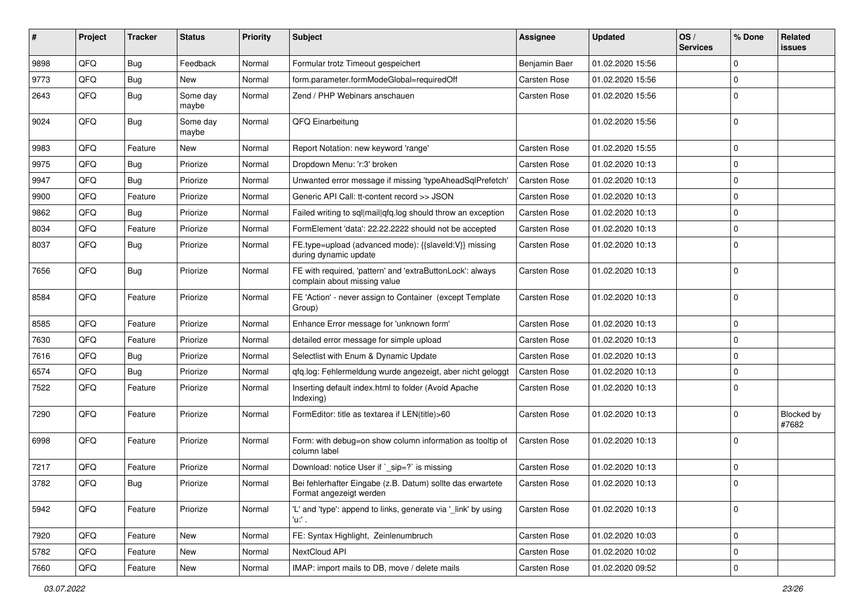| #    | Project | <b>Tracker</b> | <b>Status</b>     | <b>Priority</b> | <b>Subject</b>                                                                            | <b>Assignee</b>     | <b>Updated</b>   | OS/<br><b>Services</b> | % Done      | Related<br><b>issues</b> |
|------|---------|----------------|-------------------|-----------------|-------------------------------------------------------------------------------------------|---------------------|------------------|------------------------|-------------|--------------------------|
| 9898 | QFQ     | Bug            | Feedback          | Normal          | Formular trotz Timeout gespeichert                                                        | Benjamin Baer       | 01.02.2020 15:56 |                        | $\Omega$    |                          |
| 9773 | QFQ     | Bug            | New               | Normal          | form.parameter.formModeGlobal=requiredOff                                                 | Carsten Rose        | 01.02.2020 15:56 |                        | $\mathbf 0$ |                          |
| 2643 | QFQ     | <b>Bug</b>     | Some day<br>maybe | Normal          | Zend / PHP Webinars anschauen                                                             | <b>Carsten Rose</b> | 01.02.2020 15:56 |                        | $\Omega$    |                          |
| 9024 | QFQ     | Bug            | Some day<br>maybe | Normal          | QFQ Einarbeitung                                                                          |                     | 01.02.2020 15:56 |                        | $\mathbf 0$ |                          |
| 9983 | QFQ     | Feature        | New               | Normal          | Report Notation: new keyword 'range'                                                      | Carsten Rose        | 01.02.2020 15:55 |                        | $\mathbf 0$ |                          |
| 9975 | QFQ     | Bug            | Priorize          | Normal          | Dropdown Menu: 'r:3' broken                                                               | Carsten Rose        | 01.02.2020 10:13 |                        | $\Omega$    |                          |
| 9947 | QFQ     | Bug            | Priorize          | Normal          | Unwanted error message if missing 'typeAheadSqlPrefetch'                                  | <b>Carsten Rose</b> | 01.02.2020 10:13 |                        | $\mathbf 0$ |                          |
| 9900 | QFQ     | Feature        | Priorize          | Normal          | Generic API Call: tt-content record >> JSON                                               | Carsten Rose        | 01.02.2020 10:13 |                        | $\mathbf 0$ |                          |
| 9862 | QFQ     | <b>Bug</b>     | Priorize          | Normal          | Failed writing to sql mail qfq.log should throw an exception                              | <b>Carsten Rose</b> | 01.02.2020 10:13 |                        | $\Omega$    |                          |
| 8034 | QFQ     | Feature        | Priorize          | Normal          | FormElement 'data': 22.22.2222 should not be accepted                                     | <b>Carsten Rose</b> | 01.02.2020 10:13 |                        | $\mathbf 0$ |                          |
| 8037 | QFQ     | Bug            | Priorize          | Normal          | FE.type=upload (advanced mode): {{slaveld:V}} missing<br>during dynamic update            | Carsten Rose        | 01.02.2020 10:13 |                        | $\Omega$    |                          |
| 7656 | QFQ     | Bug            | Priorize          | Normal          | FE with required, 'pattern' and 'extraButtonLock': always<br>complain about missing value | <b>Carsten Rose</b> | 01.02.2020 10:13 |                        | $\mathbf 0$ |                          |
| 8584 | QFQ     | Feature        | Priorize          | Normal          | FE 'Action' - never assign to Container (except Template<br>Group)                        | <b>Carsten Rose</b> | 01.02.2020 10:13 |                        | $\mathbf 0$ |                          |
| 8585 | QFQ     | Feature        | Priorize          | Normal          | Enhance Error message for 'unknown form'                                                  | Carsten Rose        | 01.02.2020 10:13 |                        | $\mathbf 0$ |                          |
| 7630 | QFQ     | Feature        | Priorize          | Normal          | detailed error message for simple upload                                                  | Carsten Rose        | 01.02.2020 10:13 |                        | $\mathbf 0$ |                          |
| 7616 | QFQ     | <b>Bug</b>     | Priorize          | Normal          | Selectlist with Enum & Dynamic Update                                                     | Carsten Rose        | 01.02.2020 10:13 |                        | $\mathbf 0$ |                          |
| 6574 | QFQ     | Bug            | Priorize          | Normal          | qfq.log: Fehlermeldung wurde angezeigt, aber nicht geloggt                                | Carsten Rose        | 01.02.2020 10:13 |                        | $\mathbf 0$ |                          |
| 7522 | QFQ     | Feature        | Priorize          | Normal          | Inserting default index.html to folder (Avoid Apache<br>Indexing)                         | <b>Carsten Rose</b> | 01.02.2020 10:13 |                        | $\Omega$    |                          |
| 7290 | QFQ     | Feature        | Priorize          | Normal          | FormEditor: title as textarea if LEN(title)>60                                            | Carsten Rose        | 01.02.2020 10:13 |                        | $\mathbf 0$ | Blocked by<br>#7682      |
| 6998 | QFQ     | Feature        | Priorize          | Normal          | Form: with debug=on show column information as tooltip of<br>column label                 | Carsten Rose        | 01.02.2020 10:13 |                        | $\mathbf 0$ |                          |
| 7217 | QFQ     | Feature        | Priorize          | Normal          | Download: notice User if ` sip=?` is missing                                              | Carsten Rose        | 01.02.2020 10:13 |                        | $\mathbf 0$ |                          |
| 3782 | QFQ     | Bug            | Priorize          | Normal          | Bei fehlerhafter Eingabe (z.B. Datum) sollte das erwartete<br>Format angezeigt werden     | <b>Carsten Rose</b> | 01.02.2020 10:13 |                        | 0           |                          |
| 5942 | QFQ     | Feature        | Priorize          | Normal          | 'L' and 'type': append to links, generate via '_link' by using<br>'u:' .                  | Carsten Rose        | 01.02.2020 10:13 |                        | 0           |                          |
| 7920 | QFQ     | Feature        | New               | Normal          | FE: Syntax Highlight, Zeinlenumbruch                                                      | Carsten Rose        | 01.02.2020 10:03 |                        | 0           |                          |
| 5782 | QFQ     | Feature        | New               | Normal          | NextCloud API                                                                             | Carsten Rose        | 01.02.2020 10:02 |                        | 0           |                          |
| 7660 | QFG     | Feature        | New               | Normal          | IMAP: import mails to DB, move / delete mails                                             | Carsten Rose        | 01.02.2020 09:52 |                        | $\mathbf 0$ |                          |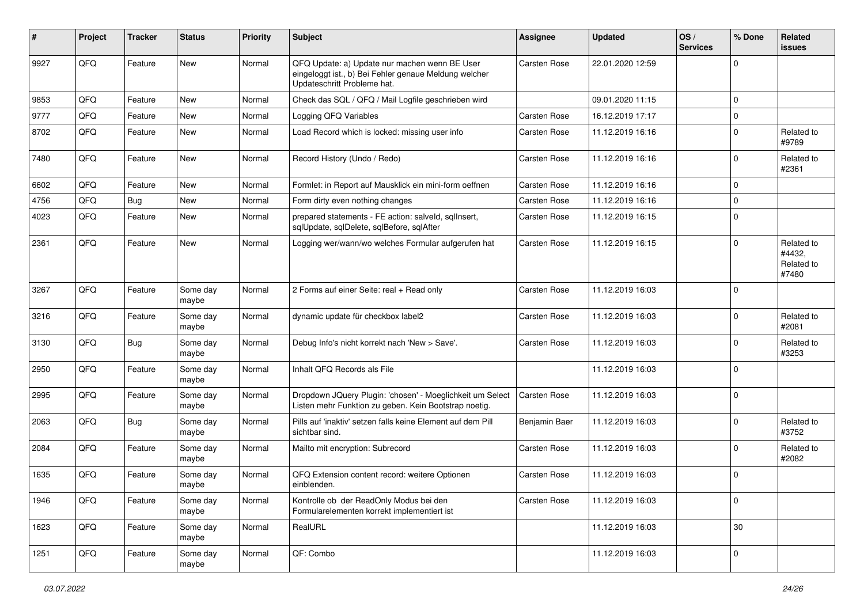| #    | Project | <b>Tracker</b> | <b>Status</b>     | <b>Priority</b> | <b>Subject</b>                                                                                                                        | <b>Assignee</b>     | <b>Updated</b>   | OS/<br><b>Services</b> | % Done      | Related<br><b>issues</b>                    |
|------|---------|----------------|-------------------|-----------------|---------------------------------------------------------------------------------------------------------------------------------------|---------------------|------------------|------------------------|-------------|---------------------------------------------|
| 9927 | QFQ     | Feature        | <b>New</b>        | Normal          | QFQ Update: a) Update nur machen wenn BE User<br>eingeloggt ist., b) Bei Fehler genaue Meldung welcher<br>Updateschritt Probleme hat. | Carsten Rose        | 22.01.2020 12:59 |                        | $\Omega$    |                                             |
| 9853 | QFQ     | Feature        | <b>New</b>        | Normal          | Check das SQL / QFQ / Mail Logfile geschrieben wird                                                                                   |                     | 09.01.2020 11:15 |                        | $\mathbf 0$ |                                             |
| 9777 | QFQ     | Feature        | New               | Normal          | Logging QFQ Variables                                                                                                                 | <b>Carsten Rose</b> | 16.12.2019 17:17 |                        | $\mathbf 0$ |                                             |
| 8702 | QFQ     | Feature        | New               | Normal          | Load Record which is locked: missing user info                                                                                        | Carsten Rose        | 11.12.2019 16:16 |                        | $\mathbf 0$ | Related to<br>#9789                         |
| 7480 | QFQ     | Feature        | New               | Normal          | Record History (Undo / Redo)                                                                                                          | <b>Carsten Rose</b> | 11.12.2019 16:16 |                        | $\Omega$    | Related to<br>#2361                         |
| 6602 | QFQ     | Feature        | New               | Normal          | Formlet: in Report auf Mausklick ein mini-form oeffnen                                                                                | <b>Carsten Rose</b> | 11.12.2019 16:16 |                        | $\mathbf 0$ |                                             |
| 4756 | QFQ     | <b>Bug</b>     | New               | Normal          | Form dirty even nothing changes                                                                                                       | <b>Carsten Rose</b> | 11.12.2019 16:16 |                        | $\mathbf 0$ |                                             |
| 4023 | QFQ     | Feature        | New               | Normal          | prepared statements - FE action: salveld, sqllnsert,<br>sqlUpdate, sqlDelete, sqlBefore, sqlAfter                                     | Carsten Rose        | 11.12.2019 16:15 |                        | $\Omega$    |                                             |
| 2361 | QFQ     | Feature        | New               | Normal          | Logging wer/wann/wo welches Formular aufgerufen hat                                                                                   | <b>Carsten Rose</b> | 11.12.2019 16:15 |                        | $\mathbf 0$ | Related to<br>#4432,<br>Related to<br>#7480 |
| 3267 | QFQ     | Feature        | Some day<br>maybe | Normal          | 2 Forms auf einer Seite: real + Read only                                                                                             | <b>Carsten Rose</b> | 11.12.2019 16:03 |                        | $\mathbf 0$ |                                             |
| 3216 | QFQ     | Feature        | Some day<br>maybe | Normal          | dynamic update für checkbox label2                                                                                                    | <b>Carsten Rose</b> | 11.12.2019 16:03 |                        | $\mathbf 0$ | Related to<br>#2081                         |
| 3130 | QFQ     | Bug            | Some day<br>maybe | Normal          | Debug Info's nicht korrekt nach 'New > Save'.                                                                                         | <b>Carsten Rose</b> | 11.12.2019 16:03 |                        | $\mathbf 0$ | Related to<br>#3253                         |
| 2950 | QFQ     | Feature        | Some day<br>maybe | Normal          | Inhalt QFQ Records als File                                                                                                           |                     | 11.12.2019 16:03 |                        | $\mathbf 0$ |                                             |
| 2995 | QFQ     | Feature        | Some day<br>maybe | Normal          | Dropdown JQuery Plugin: 'chosen' - Moeglichkeit um Select<br>Listen mehr Funktion zu geben. Kein Bootstrap noetig.                    | <b>Carsten Rose</b> | 11.12.2019 16:03 |                        | $\mathbf 0$ |                                             |
| 2063 | QFQ     | Bug            | Some day<br>maybe | Normal          | Pills auf 'inaktiv' setzen falls keine Element auf dem Pill<br>sichtbar sind.                                                         | Benjamin Baer       | 11.12.2019 16:03 |                        | $\mathbf 0$ | Related to<br>#3752                         |
| 2084 | QFQ     | Feature        | Some day<br>maybe | Normal          | Mailto mit encryption: Subrecord                                                                                                      | Carsten Rose        | 11.12.2019 16:03 |                        | $\mathbf 0$ | Related to<br>#2082                         |
| 1635 | QFQ     | Feature        | Some day<br>maybe | Normal          | QFQ Extension content record: weitere Optionen<br>einblenden.                                                                         | <b>Carsten Rose</b> | 11.12.2019 16:03 |                        | $\mathbf 0$ |                                             |
| 1946 | QFQ     | Feature        | Some day<br>maybe | Normal          | Kontrolle ob der ReadOnly Modus bei den<br>Formularelementen korrekt implementiert ist                                                | Carsten Rose        | 11.12.2019 16:03 |                        | $\mathbf 0$ |                                             |
| 1623 | QFQ     | Feature        | Some day<br>maybe | Normal          | RealURL                                                                                                                               |                     | 11.12.2019 16:03 |                        | 30          |                                             |
| 1251 | QFQ     | Feature        | Some day<br>maybe | Normal          | QF: Combo                                                                                                                             |                     | 11.12.2019 16:03 |                        | 0           |                                             |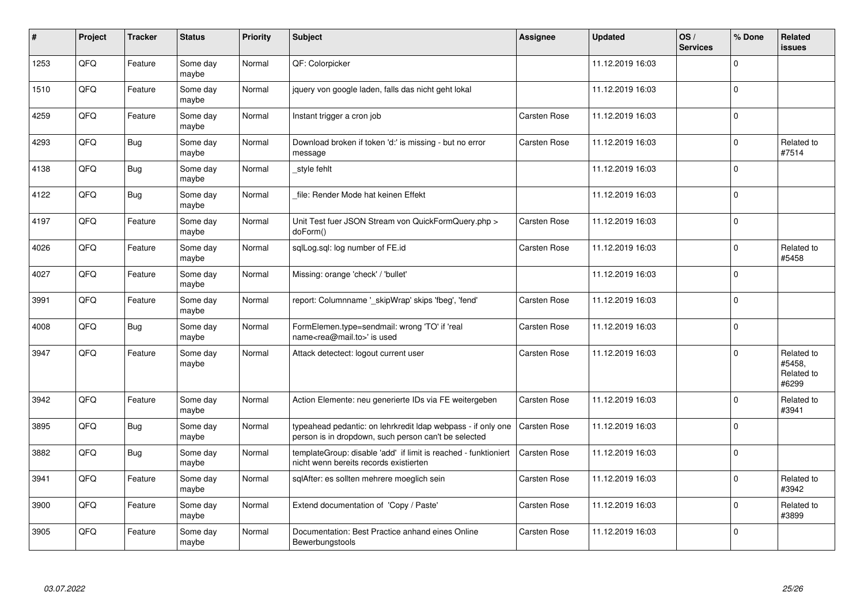| #    | Project | <b>Tracker</b> | <b>Status</b>     | Priority | <b>Subject</b>                                                                                                       | Assignee            | Updated          | OS/<br><b>Services</b> | % Done         | <b>Related</b><br><b>issues</b>             |
|------|---------|----------------|-------------------|----------|----------------------------------------------------------------------------------------------------------------------|---------------------|------------------|------------------------|----------------|---------------------------------------------|
| 1253 | QFQ     | Feature        | Some day<br>maybe | Normal   | QF: Colorpicker                                                                                                      |                     | 11.12.2019 16:03 |                        | $\Omega$       |                                             |
| 1510 | QFQ     | Feature        | Some day<br>maybe | Normal   | jquery von google laden, falls das nicht geht lokal                                                                  |                     | 11.12.2019 16:03 |                        | $\mathbf{0}$   |                                             |
| 4259 | QFQ     | Feature        | Some day<br>maybe | Normal   | Instant trigger a cron job                                                                                           | <b>Carsten Rose</b> | 11.12.2019 16:03 |                        | $\mathbf 0$    |                                             |
| 4293 | QFQ     | Bug            | Some day<br>maybe | Normal   | Download broken if token 'd:' is missing - but no error<br>message                                                   | <b>Carsten Rose</b> | 11.12.2019 16:03 |                        | $\mathbf 0$    | Related to<br>#7514                         |
| 4138 | QFQ     | <b>Bug</b>     | Some day<br>maybe | Normal   | style fehlt                                                                                                          |                     | 11.12.2019 16:03 |                        | $\mathbf 0$    |                                             |
| 4122 | QFQ     | Bug            | Some day<br>maybe | Normal   | file: Render Mode hat keinen Effekt                                                                                  |                     | 11.12.2019 16:03 |                        | $\Omega$       |                                             |
| 4197 | QFQ     | Feature        | Some day<br>maybe | Normal   | Unit Test fuer JSON Stream von QuickFormQuery.php ><br>doForm()                                                      | <b>Carsten Rose</b> | 11.12.2019 16:03 |                        | $\Omega$       |                                             |
| 4026 | QFQ     | Feature        | Some day<br>maybe | Normal   | sqlLog.sql: log number of FE.id                                                                                      | <b>Carsten Rose</b> | 11.12.2019 16:03 |                        | $\mathbf 0$    | Related to<br>#5458                         |
| 4027 | QFQ     | Feature        | Some day<br>maybe | Normal   | Missing: orange 'check' / 'bullet'                                                                                   |                     | 11.12.2019 16:03 |                        | $\Omega$       |                                             |
| 3991 | QFQ     | Feature        | Some day<br>maybe | Normal   | report: Columnname '_skipWrap' skips 'fbeg', 'fend'                                                                  | Carsten Rose        | 11.12.2019 16:03 |                        | $\Omega$       |                                             |
| 4008 | QFQ     | <b>Bug</b>     | Some day<br>maybe | Normal   | FormElemen.type=sendmail: wrong 'TO' if 'real<br>name <rea@mail.to>' is used</rea@mail.to>                           | Carsten Rose        | 11.12.2019 16:03 |                        | $\Omega$       |                                             |
| 3947 | QFQ     | Feature        | Some day<br>maybe | Normal   | Attack detectect: logout current user                                                                                | Carsten Rose        | 11.12.2019 16:03 |                        | $\overline{0}$ | Related to<br>#5458,<br>Related to<br>#6299 |
| 3942 | QFQ     | Feature        | Some day<br>maybe | Normal   | Action Elemente: neu generierte IDs via FE weitergeben                                                               | <b>Carsten Rose</b> | 11.12.2019 16:03 |                        | $\Omega$       | Related to<br>#3941                         |
| 3895 | QFQ     | <b>Bug</b>     | Some day<br>maybe | Normal   | typeahead pedantic: on lehrkredit Idap webpass - if only one<br>person is in dropdown, such person can't be selected | Carsten Rose        | 11.12.2019 16:03 |                        | $\Omega$       |                                             |
| 3882 | QFQ     | Bug            | Some day<br>maybe | Normal   | templateGroup: disable 'add' if limit is reached - funktioniert<br>nicht wenn bereits records existierten            | Carsten Rose        | 11.12.2019 16:03 |                        | $\Omega$       |                                             |
| 3941 | QFQ     | Feature        | Some day<br>maybe | Normal   | sqlAfter: es sollten mehrere moeglich sein                                                                           | Carsten Rose        | 11.12.2019 16:03 |                        | $\overline{0}$ | Related to<br>#3942                         |
| 3900 | QFQ     | Feature        | Some day<br>maybe | Normal   | Extend documentation of 'Copy / Paste'                                                                               | Carsten Rose        | 11.12.2019 16:03 |                        | $\mathbf 0$    | Related to<br>#3899                         |
| 3905 | QFQ     | Feature        | Some day<br>maybe | Normal   | Documentation: Best Practice anhand eines Online<br>Bewerbungstools                                                  | <b>Carsten Rose</b> | 11.12.2019 16:03 |                        | $\mathbf 0$    |                                             |